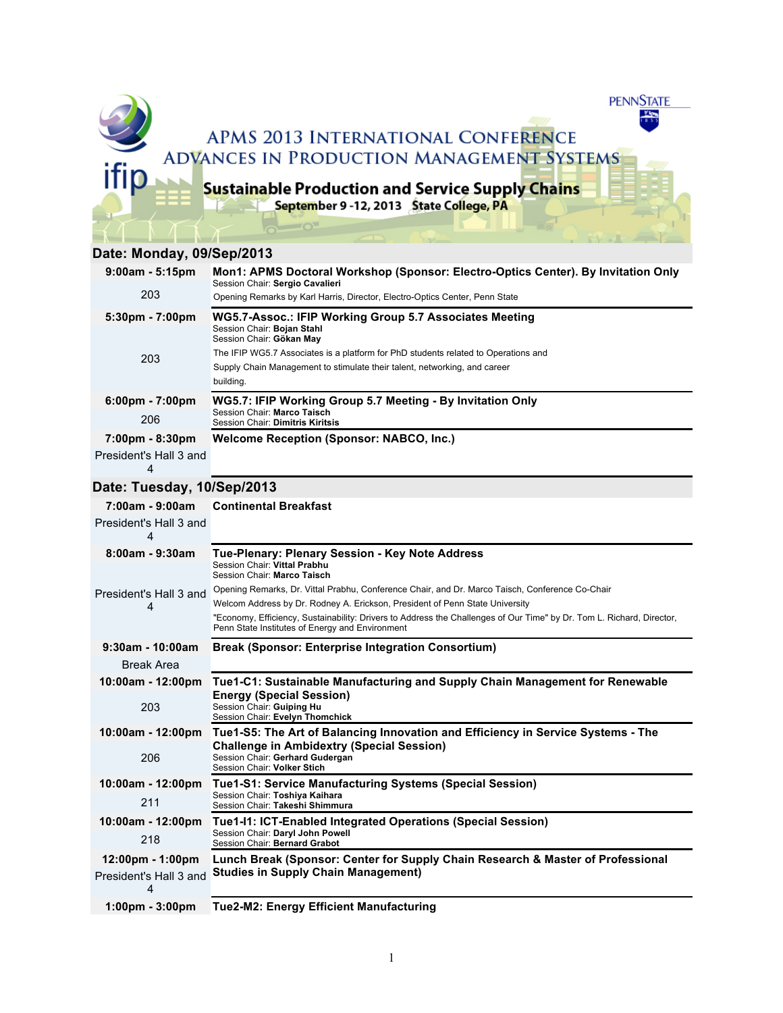

## **Date: Monday, 09/Sep/2013**

| $9:00am - 5:15pm$                 | Mon1: APMS Doctoral Workshop (Sponsor: Electro-Optics Center). By Invitation Only<br>Session Chair: Sergio Cavalieri<br>Opening Remarks by Karl Harris, Director, Electro-Optics Center, Penn State |
|-----------------------------------|-----------------------------------------------------------------------------------------------------------------------------------------------------------------------------------------------------|
| 203                               |                                                                                                                                                                                                     |
| $5:30 \text{pm} - 7:00 \text{pm}$ | WG5.7-Assoc.: IFIP Working Group 5.7 Associates Meeting                                                                                                                                             |
| 203                               | Session Chair: Bojan Stahl<br>Session Chair: Gökan May                                                                                                                                              |
|                                   | The IFIP WG5.7 Associates is a platform for PhD students related to Operations and                                                                                                                  |
|                                   | Supply Chain Management to stimulate their talent, networking, and career                                                                                                                           |
|                                   | building.                                                                                                                                                                                           |
| $6:00 \text{pm} - 7:00 \text{pm}$ | WG5.7: IFIP Working Group 5.7 Meeting - By Invitation Only<br>Session Chair: Marco Taisch<br>Session Chair: Dimitris Kiritsis                                                                       |
| 206                               |                                                                                                                                                                                                     |
| $7:00 \text{pm} - 8:30 \text{pm}$ | Welcome Reception (Sponsor: NABCO, Inc.)                                                                                                                                                            |
| President's Hall 3 and            |                                                                                                                                                                                                     |
| 4                                 |                                                                                                                                                                                                     |

# **Date: Tuesday, 10/Sep/2013**

| 7:00am - 9:00am                    | <b>Continental Breakfast</b>                                                                                                                                             |
|------------------------------------|--------------------------------------------------------------------------------------------------------------------------------------------------------------------------|
| President's Hall 3 and<br>4        |                                                                                                                                                                          |
| $8:00am - 9:30am$                  | Tue-Plenary: Plenary Session - Key Note Address                                                                                                                          |
| President's Hall 3 and<br>4        | Session Chair: Vittal Prabhu<br>Session Chair: Marco Taisch                                                                                                              |
|                                    | Opening Remarks, Dr. Vittal Prabhu, Conference Chair, and Dr. Marco Taisch, Conference Co-Chair                                                                          |
|                                    | Welcom Address by Dr. Rodney A. Erickson, President of Penn State University                                                                                             |
|                                    | "Economy, Efficiency, Sustainability: Drivers to Address the Challenges of Our Time" by Dr. Tom L. Richard, Director,<br>Penn State Institutes of Energy and Environment |
| $9:30$ am - 10:00am                | <b>Break (Sponsor: Enterprise Integration Consortium)</b>                                                                                                                |
| <b>Break Area</b>                  |                                                                                                                                                                          |
| 10:00am - 12:00pm                  | Tue1-C1: Sustainable Manufacturing and Supply Chain Management for Renewable                                                                                             |
| 203                                | <b>Energy (Special Session)</b><br>Session Chair: Guiping Hu<br>Session Chair: Evelyn Thomchick                                                                          |
| 10:00am - 12:00pm                  | Tue1-S5: The Art of Balancing Innovation and Efficiency in Service Systems - The<br><b>Challenge in Ambidextry (Special Session)</b>                                     |
| 206                                | Session Chair: Gerhard Gudergan<br>Session Chair: Volker Stich                                                                                                           |
| 10:00am - 12:00pm                  | <b>Tue1-S1: Service Manufacturing Systems (Special Session)</b>                                                                                                          |
| 211                                | Session Chair: Toshiya Kaihara<br>Session Chair: Takeshi Shimmura                                                                                                        |
| 10:00am - 12:00pm                  | Tue1-I1: ICT-Enabled Integrated Operations (Special Session)                                                                                                             |
| 218                                | Session Chair: Daryl John Powell<br>Session Chair: Bernard Grabot                                                                                                        |
| $12:00 \text{pm} - 1:00 \text{pm}$ | Lunch Break (Sponsor: Center for Supply Chain Research & Master of Professional                                                                                          |
| President's Hall 3 and<br>4        | <b>Studies in Supply Chain Management)</b>                                                                                                                               |
| $1:00 \text{pm} - 3:00 \text{pm}$  | <b>Tue2-M2: Energy Efficient Manufacturing</b>                                                                                                                           |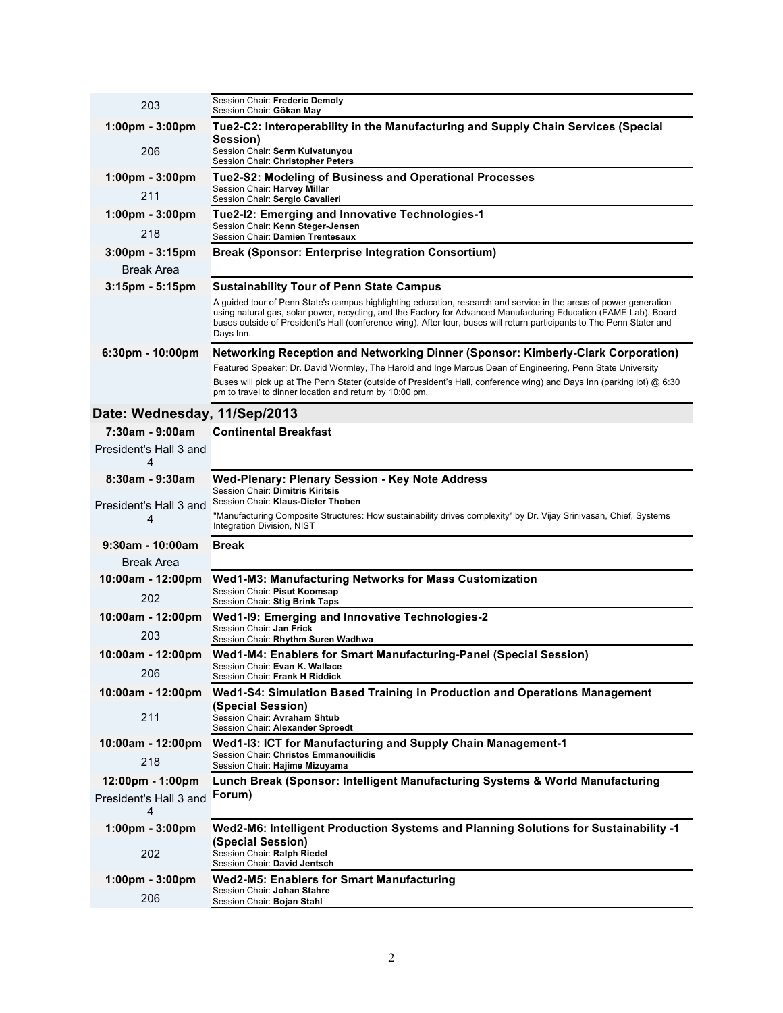| 203                                     | Session Chair: Frederic Demoly<br>Session Chair: Gökan May                                                                                                                                                                                                                                                                                                                     |
|-----------------------------------------|--------------------------------------------------------------------------------------------------------------------------------------------------------------------------------------------------------------------------------------------------------------------------------------------------------------------------------------------------------------------------------|
| 1:00pm - 3:00pm                         | Tue2-C2: Interoperability in the Manufacturing and Supply Chain Services (Special                                                                                                                                                                                                                                                                                              |
| 206                                     | Session)<br>Session Chair: Serm Kulvatunyou                                                                                                                                                                                                                                                                                                                                    |
|                                         | Session Chair: Christopher Peters                                                                                                                                                                                                                                                                                                                                              |
| $1:00 \text{pm} - 3:00 \text{pm}$       | Tue2-S2: Modeling of Business and Operational Processes<br>Session Chair: Harvey Millar                                                                                                                                                                                                                                                                                        |
| 211                                     | Session Chair: Sergio Cavalieri                                                                                                                                                                                                                                                                                                                                                |
| $1:00 \text{pm} - 3:00 \text{pm}$       | Tue2-I2: Emerging and Innovative Technologies-1<br>Session Chair: Kenn Steger-Jensen                                                                                                                                                                                                                                                                                           |
| 218                                     | Session Chair: Damien Trentesaux                                                                                                                                                                                                                                                                                                                                               |
| $3:00 \text{pm} - 3:15 \text{pm}$       | <b>Break (Sponsor: Enterprise Integration Consortium)</b>                                                                                                                                                                                                                                                                                                                      |
| <b>Break Area</b><br>$3:15$ pm - 5:15pm | <b>Sustainability Tour of Penn State Campus</b>                                                                                                                                                                                                                                                                                                                                |
|                                         | A guided tour of Penn State's campus highlighting education, research and service in the areas of power generation<br>using natural gas, solar power, recycling, and the Factory for Advanced Manufacturing Education (FAME Lab). Board<br>buses outside of President's Hall (conference wing). After tour, buses will return participants to The Penn Stater and<br>Days Inn. |
| $6:30 \text{pm} - 10:00 \text{pm}$      | <b>Networking Reception and Networking Dinner (Sponsor: Kimberly-Clark Corporation)</b>                                                                                                                                                                                                                                                                                        |
|                                         | Featured Speaker: Dr. David Wormley, The Harold and Inge Marcus Dean of Engineering, Penn State University<br>Buses will pick up at The Penn Stater (outside of President's Hall, conference wing) and Days Inn (parking lot) @ 6:30                                                                                                                                           |
|                                         | pm to travel to dinner location and return by 10:00 pm.                                                                                                                                                                                                                                                                                                                        |
| Date: Wednesday, 11/Sep/2013            |                                                                                                                                                                                                                                                                                                                                                                                |
| 7:30am - 9:00am                         | <b>Continental Breakfast</b>                                                                                                                                                                                                                                                                                                                                                   |
| President's Hall 3 and<br>4             |                                                                                                                                                                                                                                                                                                                                                                                |
| 8:30am - 9:30am                         | Wed-Plenary: Plenary Session - Key Note Address<br>Session Chair: Dimitris Kiritsis                                                                                                                                                                                                                                                                                            |
| President's Hall 3 and                  | Session Chair: Klaus-Dieter Thoben<br>"Manufacturing Composite Structures: How sustainability drives complexity" by Dr. Vijay Srinivasan, Chief, Systems                                                                                                                                                                                                                       |
| 4                                       | Integration Division, NIST                                                                                                                                                                                                                                                                                                                                                     |
| $9:30$ am - 10:00am                     | <b>Break</b>                                                                                                                                                                                                                                                                                                                                                                   |
| Break Area                              |                                                                                                                                                                                                                                                                                                                                                                                |
| 10:00am - 12:00pm                       | Wed1-M3: Manufacturing Networks for Mass Customization<br>Session Chair: Pisut Koomsap                                                                                                                                                                                                                                                                                         |
| 202                                     | Session Chair: Stig Brink Taps                                                                                                                                                                                                                                                                                                                                                 |
| 10:00am - 12:00pm                       | Wed1-19: Emerging and Innovative Technologies-2<br>Session Chair: Jan Frick                                                                                                                                                                                                                                                                                                    |
| 203                                     | Session Chair: Rhythm Suren Wadhwa                                                                                                                                                                                                                                                                                                                                             |
| 10:00am - 12:00pm                       | Wed1-M4: Enablers for Smart Manufacturing-Panel (Special Session)<br>Session Chair: <b>Evan K. Wallace</b>                                                                                                                                                                                                                                                                     |
| 206                                     | Session Chair: Frank H Riddick                                                                                                                                                                                                                                                                                                                                                 |
| 10:00am - 12:00pm                       | Wed1-S4: Simulation Based Training in Production and Operations Management                                                                                                                                                                                                                                                                                                     |
|                                         |                                                                                                                                                                                                                                                                                                                                                                                |
| 211                                     | (Special Session)<br>Session Chair: Avraham Shtub                                                                                                                                                                                                                                                                                                                              |
| 10:00am - 12:00pm                       | Session Chair: Alexander Sproedt<br>Wed1-13: ICT for Manufacturing and Supply Chain Management-1                                                                                                                                                                                                                                                                               |
| 218                                     | Session Chair: Christos Emmanouilidis<br>Session Chair: Hajime Mizuyama                                                                                                                                                                                                                                                                                                        |
| $12:00 \text{pm} - 1:00 \text{pm}$      | Lunch Break (Sponsor: Intelligent Manufacturing Systems & World Manufacturing                                                                                                                                                                                                                                                                                                  |
| President's Hall 3 and<br>4             | Forum)                                                                                                                                                                                                                                                                                                                                                                         |
| 1:00pm - 3:00pm                         | Wed2-M6: Intelligent Production Systems and Planning Solutions for Sustainability -1                                                                                                                                                                                                                                                                                           |
| 202                                     | (Special Session)<br>Session Chair: Ralph Riedel<br>Session Chair: David Jentsch                                                                                                                                                                                                                                                                                               |
| $1:00 \text{pm} - 3:00 \text{pm}$       | <b>Wed2-M5: Enablers for Smart Manufacturing</b><br>Session Chair: Johan Stahre                                                                                                                                                                                                                                                                                                |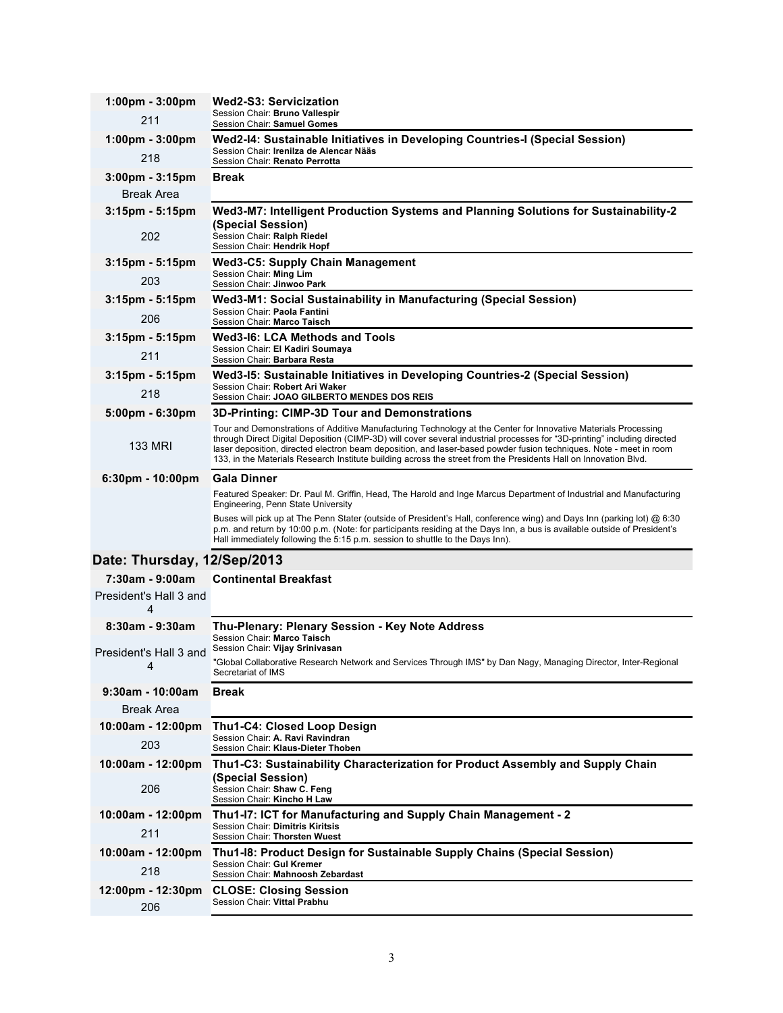| $1:00 \text{pm} - 3:00 \text{pm}$  | Wed2-S3: Servicization                                                                                                                                                                                                                                                                                                               |
|------------------------------------|--------------------------------------------------------------------------------------------------------------------------------------------------------------------------------------------------------------------------------------------------------------------------------------------------------------------------------------|
| 211                                | Session Chair: Bruno Vallespir<br>Session Chair: Samuel Gomes                                                                                                                                                                                                                                                                        |
| $1:00 \text{pm} - 3:00 \text{pm}$  | Wed2-I4: Sustainable Initiatives in Developing Countries-I (Special Session)                                                                                                                                                                                                                                                         |
| 218                                | Session Chair: Irenilza de Alencar Nääs<br>Session Chair: Renato Perrotta                                                                                                                                                                                                                                                            |
| 3:00pm - 3:15pm                    | Break                                                                                                                                                                                                                                                                                                                                |
| <b>Break Area</b>                  |                                                                                                                                                                                                                                                                                                                                      |
| $3:15$ pm - 5:15pm                 | Wed3-M7: Intelligent Production Systems and Planning Solutions for Sustainability-2<br>(Special Session)                                                                                                                                                                                                                             |
| 202                                | Session Chair: Ralph Riedel<br>Session Chair: Hendrik Hopf                                                                                                                                                                                                                                                                           |
| $3:15$ pm - 5:15pm                 | <b>Wed3-C5: Supply Chain Management</b><br>Session Chair: Ming Lim                                                                                                                                                                                                                                                                   |
| 203                                | Session Chair: Jinwoo Park                                                                                                                                                                                                                                                                                                           |
| $3:15$ pm - 5:15pm                 | Wed3-M1: Social Sustainability in Manufacturing (Special Session)<br>Session Chair: Paola Fantini                                                                                                                                                                                                                                    |
| 206                                | Session Chair: Marco Taisch                                                                                                                                                                                                                                                                                                          |
| 3:15pm - 5:15pm                    | <b>Wed3-I6: LCA Methods and Tools</b><br>Session Chair: El Kadiri Soumaya                                                                                                                                                                                                                                                            |
| 211                                | Session Chair: Barbara Resta                                                                                                                                                                                                                                                                                                         |
| $3:15$ pm - 5:15pm                 | Wed3-15: Sustainable Initiatives in Developing Countries-2 (Special Session)                                                                                                                                                                                                                                                         |
| 218                                | Session Chair: Robert Ari Waker<br>Session Chair: JOAO GILBERTO MENDES DOS REIS                                                                                                                                                                                                                                                      |
| $5:00 \text{pm} - 6:30 \text{pm}$  | 3D-Printing: CIMP-3D Tour and Demonstrations                                                                                                                                                                                                                                                                                         |
|                                    | Tour and Demonstrations of Additive Manufacturing Technology at the Center for Innovative Materials Processing<br>through Direct Digital Deposition (CIMP-3D) will cover several industrial processes for "3D-printing" including directed                                                                                           |
| <b>133 MRI</b>                     | laser deposition, directed electron beam deposition, and laser-based powder fusion techniques. Note - meet in room<br>133, in the Materials Research Institute building across the street from the Presidents Hall on Innovation Blvd.                                                                                               |
| $6:30 \text{pm} - 10:00 \text{pm}$ | <b>Gala Dinner</b>                                                                                                                                                                                                                                                                                                                   |
|                                    | Featured Speaker: Dr. Paul M. Griffin, Head, The Harold and Inge Marcus Department of Industrial and Manufacturing<br>Engineering, Penn State University                                                                                                                                                                             |
|                                    | Buses will pick up at The Penn Stater (outside of President's Hall, conference wing) and Days Inn (parking lot) @ 6:30<br>p.m. and return by 10:00 p.m. (Note: for participants residing at the Days Inn, a bus is available outside of President's<br>Hall immediately following the 5:15 p.m. session to shuttle to the Days Inn). |
| Date: Thursday, 12/Sep/2013        |                                                                                                                                                                                                                                                                                                                                      |
| 7:30am - 9:00am                    | <b>Continental Breakfast</b>                                                                                                                                                                                                                                                                                                         |
| President's Hall 3 and<br>4        |                                                                                                                                                                                                                                                                                                                                      |
| 8:30am - 9:30am                    | Thu-Plenary: Plenary Session - Key Note Address<br>Session Chair: Marco Taisch                                                                                                                                                                                                                                                       |
| President's Hall 3 and             | Session Chair: Vijay Srinivasan                                                                                                                                                                                                                                                                                                      |
| 4                                  | "Global Collaborative Research Network and Services Through IMS" by Dan Nagy, Managing Director, Inter-Regional<br>Secretariat or IMS                                                                                                                                                                                                |
| $9:30$ am - 10:00am                | <b>Break</b>                                                                                                                                                                                                                                                                                                                         |
| <b>Break Area</b>                  |                                                                                                                                                                                                                                                                                                                                      |
| 10:00am - 12:00pm                  | <b>Thu1-C4: Closed Loop Design</b>                                                                                                                                                                                                                                                                                                   |
| 203                                | Session Chair: A. Ravi Ravindran<br>Session Chair: Klaus-Dieter Thoben                                                                                                                                                                                                                                                               |
| 10:00am - 12:00pm                  | Thu1-C3: Sustainability Characterization for Product Assembly and Supply Chain<br>(Special Session)                                                                                                                                                                                                                                  |
| 206                                | Session Chair: Shaw C. Feng<br>Session Chair: Kincho H Law                                                                                                                                                                                                                                                                           |
| 10:00am - 12:00pm                  | Thu1-I7: ICT for Manufacturing and Supply Chain Management - 2<br>Session Chair: Dimitris Kiritsis                                                                                                                                                                                                                                   |
| 211                                | Session Chair: Thorsten Wuest                                                                                                                                                                                                                                                                                                        |
| 10:00am - 12:00pm                  | Thu1-18: Product Design for Sustainable Supply Chains (Special Session)<br>Session Chair: Gul Kremer                                                                                                                                                                                                                                 |
| 218                                | Session Chair: Mahnoosh Zebardast                                                                                                                                                                                                                                                                                                    |
| 206                                | 12:00pm - 12:30pm CLOSE: Closing Session<br>Session Chair: Vittal Prabhu                                                                                                                                                                                                                                                             |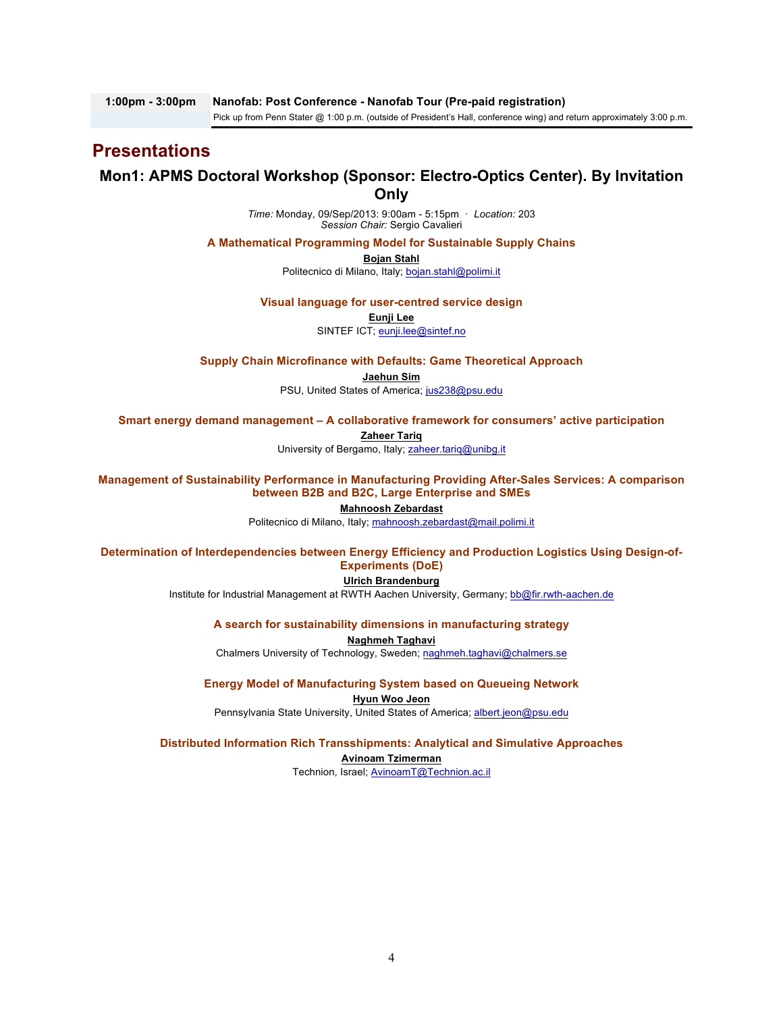# **Presentations**

## **Mon1: APMS Doctoral Workshop (Sponsor: Electro-Optics Center). By Invitation Only**

*Time:* Monday, 09/Sep/2013: 9:00am - 5:15pm · *Location:* 203 *Session Chair:* Sergio Cavalieri

**A Mathematical Programming Model for Sustainable Supply Chains**

**Bojan Stahl**

Politecnico di Milano, Italy; bojan.stahl@polimi.it

**Visual language for user-centred service design**

**Eunji Lee**

SINTEF ICT; eunji.lee@sintef.no

**Supply Chain Microfinance with Defaults: Game Theoretical Approach Jaehun Sim**

PSU, United States of America; jus238@psu.edu

**Smart energy demand management – A collaborative framework for consumers' active participation**

**Zaheer Tariq**

University of Bergamo, Italy; zaheer.tariq@unibg.it

**Management of Sustainability Performance in Manufacturing Providing After-Sales Services: A comparison between B2B and B2C, Large Enterprise and SMEs**

#### **Mahnoosh Zebardast**

Politecnico di Milano, Italy; mahnoosh.zebardast@mail.polimi.it

**Determination of Interdependencies between Energy Efficiency and Production Logistics Using Design-of-Experiments (DoE)**

#### **Ulrich Brandenburg**

Institute for Industrial Management at RWTH Aachen University, Germany; bb@fir.rwth-aachen.de

**A search for sustainability dimensions in manufacturing strategy**

**Naghmeh Taghavi** Chalmers University of Technology, Sweden; naghmeh.taghavi@chalmers.se

**Energy Model of Manufacturing System based on Queueing Network**

**Hyun Woo Jeon** Pennsylvania State University, United States of America; albert.jeon@psu.edu

**Distributed Information Rich Transshipments: Analytical and Simulative Approaches Avinoam Tzimerman**

Technion, Israel; AvinoamT@Technion.ac.il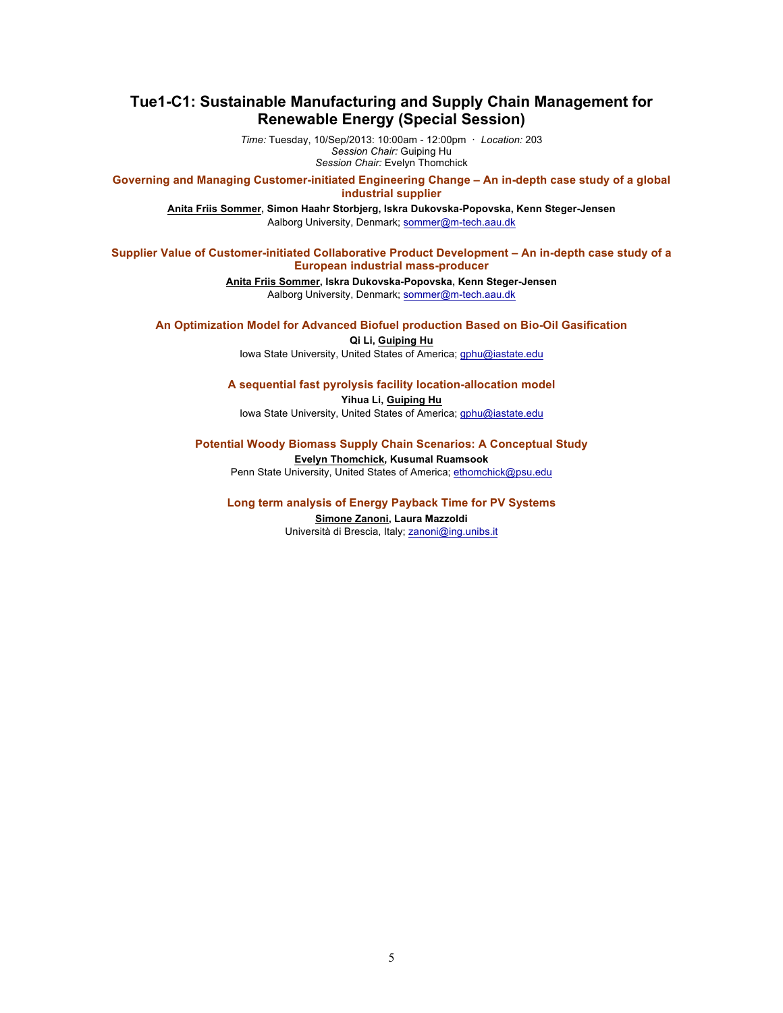## **Tue1-C1: Sustainable Manufacturing and Supply Chain Management for Renewable Energy (Special Session)**

*Time:* Tuesday, 10/Sep/2013: 10:00am - 12:00pm · *Location:* 203 *Session Chair:* Guiping Hu *Session Chair:* Evelyn Thomchick

**Governing and Managing Customer-initiated Engineering Change – An in-depth case study of a global industrial supplier**

**Anita Friis Sommer, Simon Haahr Storbjerg, Iskra Dukovska-Popovska, Kenn Steger-Jensen** Aalborg University, Denmark; sommer@m-tech.aau.dk

## **Supplier Value of Customer-initiated Collaborative Product Development – An in-depth case study of a European industrial mass-producer**

**Anita Friis Sommer, Iskra Dukovska-Popovska, Kenn Steger-Jensen** Aalborg University, Denmark; sommer@m-tech.aau.dk

**An Optimization Model for Advanced Biofuel production Based on Bio-Oil Gasification**

**Qi Li, Guiping Hu**

Iowa State University, United States of America; gphu@iastate.edu

#### **A sequential fast pyrolysis facility location-allocation model**

**Yihua Li, Guiping Hu** Iowa State University, United States of America; gphu@iastate.edu

**Potential Woody Biomass Supply Chain Scenarios: A Conceptual Study**

**Evelyn Thomchick, Kusumal Ruamsook**

Penn State University, United States of America; ethomchick@psu.edu

**Long term analysis of Energy Payback Time for PV Systems**

**Simone Zanoni, Laura Mazzoldi** Università di Brescia, Italy; zanoni@ing.unibs.it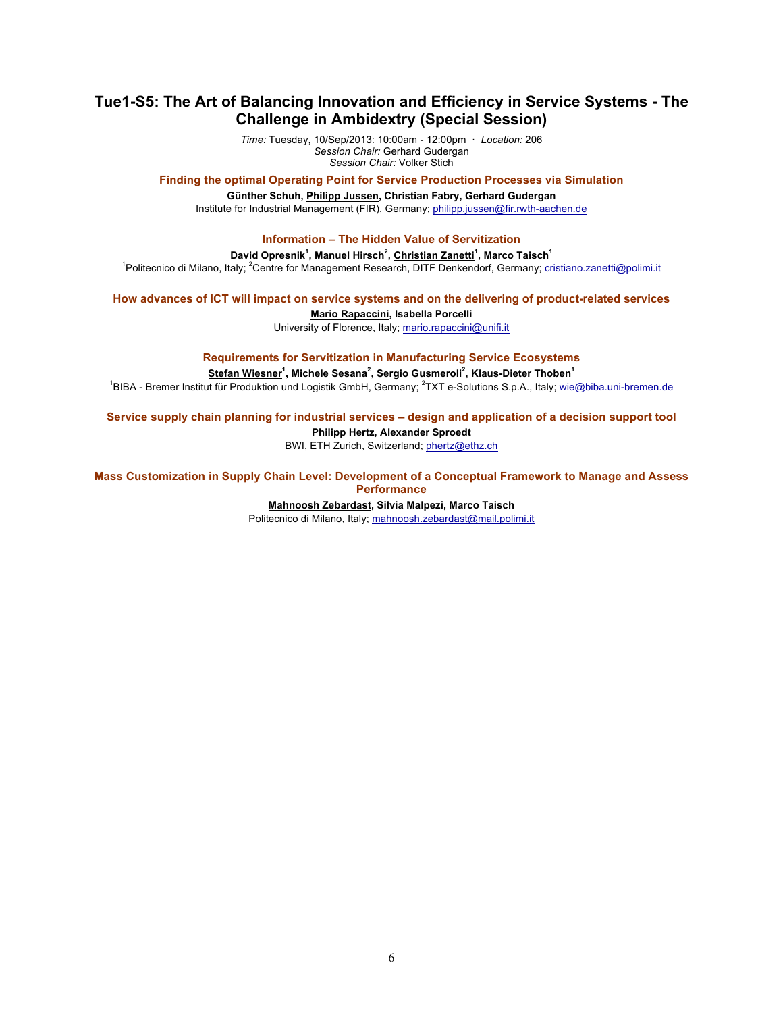## **Tue1-S5: The Art of Balancing Innovation and Efficiency in Service Systems - The Challenge in Ambidextry (Special Session)**

*Time:* Tuesday, 10/Sep/2013: 10:00am - 12:00pm · *Location:* 206 *Session Chair:* Gerhard Gudergan *Session Chair:* Volker Stich

**Finding the optimal Operating Point for Service Production Processes via Simulation**

**Günther Schuh, Philipp Jussen, Christian Fabry, Gerhard Gudergan** Institute for Industrial Management (FIR), Germany; philipp.jussen@fir.rwth-aachen.de

### **Information – The Hidden Value of Servitization**

**David Opresnik<sup>1</sup> , Manuel Hirsch<sup>2</sup> , Christian Zanetti<sup>1</sup> , Marco Taisch<sup>1</sup>**

<sup>1</sup>Politecnico di Milano, Italy; <sup>2</sup>Centre for Management Research, DITF Denkendorf, Germany; cristiano.zanetti@polimi.it

**How advances of ICT will impact on service systems and on the delivering of product-related services**

**Mario Rapaccini, Isabella Porcelli**

University of Florence, Italy; mario.rapaccini@unifi.it

**Requirements for Servitization in Manufacturing Service Ecosystems**

**Stefan Wiesner<sup>1</sup> , Michele Sesana<sup>2</sup> , Sergio Gusmeroli<sup>2</sup> , Klaus-Dieter Thoben<sup>1</sup>**

<sup>1</sup>BIBA - Bremer Institut für Produktion und Logistik GmbH, Germany; <sup>2</sup>TXT e-Solutions S.p.A., Italy; wie@biba.uni-bremen.de

**Service supply chain planning for industrial services – design and application of a decision support tool**

### **Philipp Hertz, Alexander Sproedt**

BWI, ETH Zurich, Switzerland; phertz@ethz.ch

**Mass Customization in Supply Chain Level: Development of a Conceptual Framework to Manage and Assess Performance**

#### **Mahnoosh Zebardast, Silvia Malpezi, Marco Taisch**

Politecnico di Milano, Italy; mahnoosh.zebardast@mail.polimi.it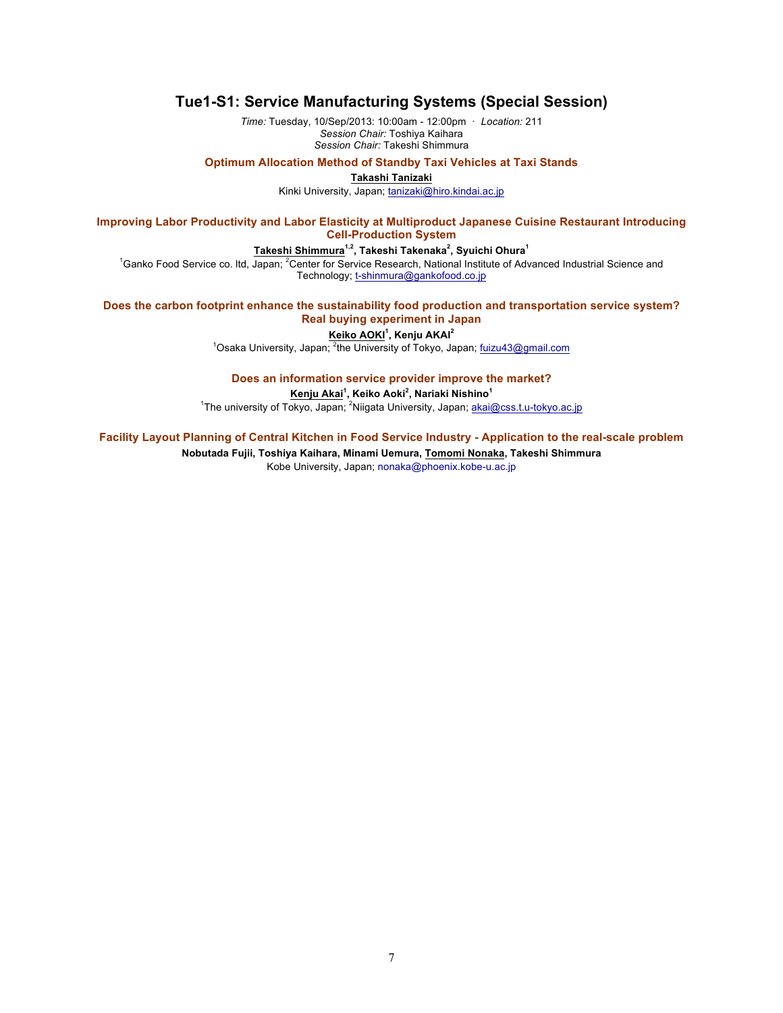## **Tue1-S1: Service Manufacturing Systems (Special Session)**

*Time:* Tuesday, 10/Sep/2013: 10:00am - 12:00pm · *Location:* 211 *Session Chair:* Toshiya Kaihara *Session Chair:* Takeshi Shimmura

**Optimum Allocation Method of Standby Taxi Vehicles at Taxi Stands**

**Takashi Tanizaki**

Kinki University, Japan; tanizaki@hiro.kindai.ac.jp

**Improving Labor Productivity and Labor Elasticity at Multiproduct Japanese Cuisine Restaurant Introducing Cell-Production System**

#### $\mathsf{T}$ akeshi Shimmura $^{1,2}$ , Takeshi Takenaka $^{2}$ , Syuichi Ohura $^{1}$

<sup>1</sup>Ganko Food Service co. Itd, Japan; <sup>2</sup>Center for Service Research, National Institute of Advanced Industrial Science and Technology; t-shinmura@gankofood.co.jp

### **Does the carbon footprint enhance the sustainability food production and transportation service system? Real buying experiment in Japan**

**Keiko AOKI<sup>1</sup> , Kenju AKAI<sup>2</sup>**

<sup>1</sup>Osaka University, Japan; <sup>2</sup>the University of Tokyo, Japan; fuizu43@gmail.com

**Does an information service provider improve the market?**

**Kenju Akai<sup>1</sup> , Keiko Aoki<sup>2</sup> , Nariaki Nishino<sup>1</sup>**

<sup>1</sup>The university of Tokyo, Japan; <sup>2</sup>Niigata University, Japan; akai@css.t.u-tokyo.ac.jp

**Facility Layout Planning of Central Kitchen in Food Service Industry - Application to the real-scale problem**

**Nobutada Fujii, Toshiya Kaihara, Minami Uemura, Tomomi Nonaka, Takeshi Shimmura** Kobe University, Japan; nonaka@phoenix.kobe-u.ac.jp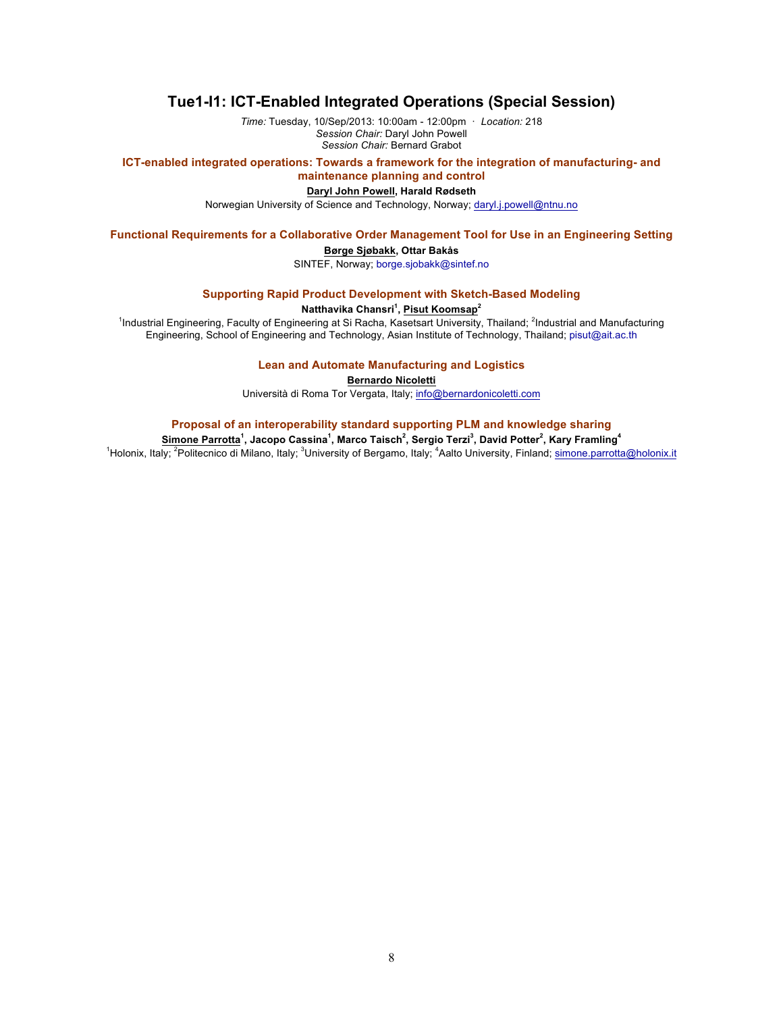## **Tue1-I1: ICT-Enabled Integrated Operations (Special Session)**

*Time:* Tuesday, 10/Sep/2013: 10:00am - 12:00pm · *Location:* 218 *Session Chair:* Daryl John Powell *Session Chair:* Bernard Grabot

**ICT-enabled integrated operations: Towards a framework for the integration of manufacturing- and maintenance planning and control**

# **Daryl John Powell, Harald Rødseth**

Norwegian University of Science and Technology, Norway; daryl.j.powell@ntnu.no

## **Functional Requirements for a Collaborative Order Management Tool for Use in an Engineering Setting**

### **Børge Sjøbakk, Ottar Bakås**

SINTEF, Norway; borge.sjobakk@sintef.no

## **Supporting Rapid Product Development with Sketch-Based Modeling**

#### **Natthavika Chansri<sup>1</sup> , Pisut Koomsap<sup>2</sup>**

<sup>1</sup>Industrial Engineering, Faculty of Engineering at Si Racha, Kasetsart University, Thailand; <sup>2</sup>Industrial and Manufacturing Engineering, School of Engineering and Technology, Asian Institute of Technology, Thailand; pisut@ait.ac.th

## **Lean and Automate Manufacturing and Logistics**

**Bernardo Nicoletti**

Università di Roma Tor Vergata, Italy; info@bernardonicoletti.com

## **Proposal of an interoperability standard supporting PLM and knowledge sharing**

**Simone Parrotta<sup>1</sup> , Jacopo Cassina<sup>1</sup> , Marco Taisch<sup>2</sup> , Sergio Terzi<sup>3</sup> , David Potter<sup>2</sup> , Kary Framling<sup>4</sup>** <sup>1</sup>Holonix, Italy; <sup>2</sup>Politecnico di Milano, Italy; <sup>3</sup>University of Bergamo, Italy; <sup>4</sup>Aalto University, Finland; simone.parrotta@holonix.it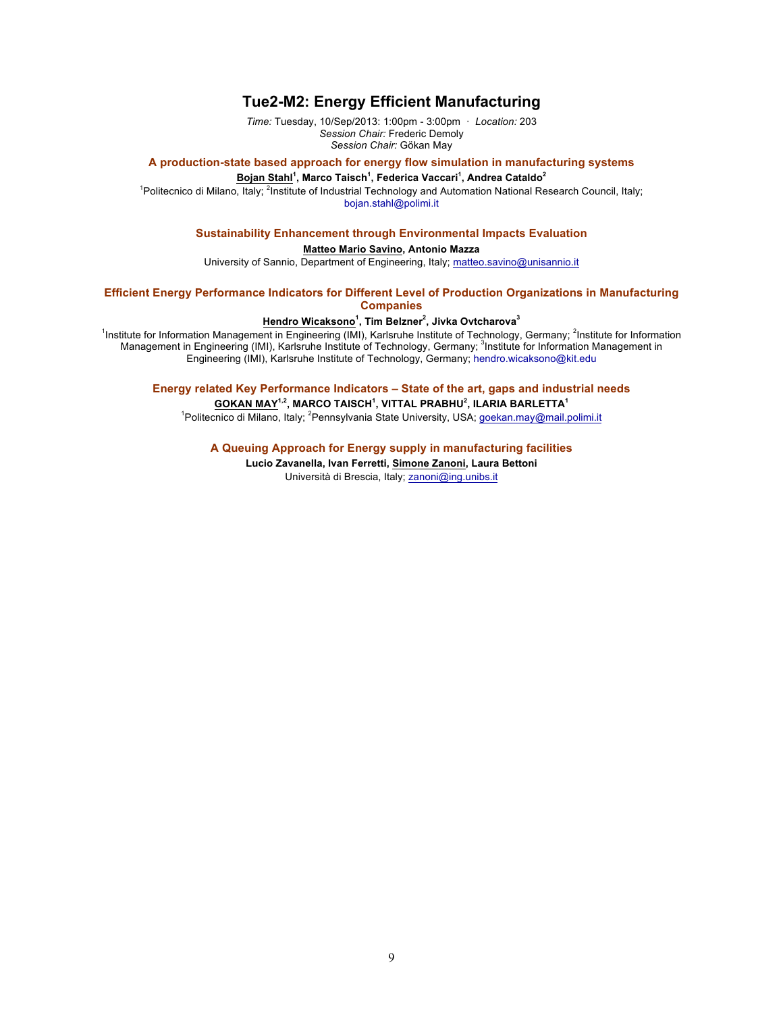## **Tue2-M2: Energy Efficient Manufacturing**

*Time:* Tuesday, 10/Sep/2013: 1:00pm - 3:00pm · *Location:* 203 *Session Chair:* Frederic Demoly *Session Chair:* Gökan May

#### **A production-state based approach for energy flow simulation in manufacturing systems**

**Bojan Stahl<sup>1</sup> , Marco Taisch<sup>1</sup> , Federica Vaccari<sup>1</sup> , Andrea Cataldo<sup>2</sup>**

<sup>1</sup> Politecnico di Milano, Italy; <sup>2</sup> Institute of Industrial Technology and Automation National Research Council, Italy; bojan.stahl@polimi.it

### **Sustainability Enhancement through Environmental Impacts Evaluation**

#### **Matteo Mario Savino, Antonio Mazza**

University of Sannio, Department of Engineering, Italy; matteo.savino@unisannio.it

**Efficient Energy Performance Indicators for Different Level of Production Organizations in Manufacturing Companies**

#### **Hendro Wicaksono<sup>1</sup> , Tim Belzner<sup>2</sup> , Jivka Ovtcharova<sup>3</sup>**

<sup>1</sup>Institute for Information Management in Engineering (IMI), Karlsruhe Institute of Technology, Germany; <sup>2</sup>Institute for Information Management in Engineering (IMI), Karlsruhe Institute of Technology, Germany; <sup>3</sup>Institute for Information Management in Engineering (IMI), Karlsruhe Institute of Technology, Germany; hendro.wicaksono@kit.edu

**Energy related Key Performance Indicators – State of the art, gaps and industrial needs GOKAN MAY1,2, MARCO TAISCH1 , VITTAL PRABHU<sup>2</sup> , ILARIA BARLETTA<sup>1</sup>**

<sup>1</sup>Politecnico di Milano, Italy; <sup>2</sup>Pennsylvania State University, USA; goekan.may@mail.polimi.it

### **A Queuing Approach for Energy supply in manufacturing facilities**

**Lucio Zavanella, Ivan Ferretti, Simone Zanoni, Laura Bettoni** Università di Brescia, Italy; zanoni@ing.unibs.it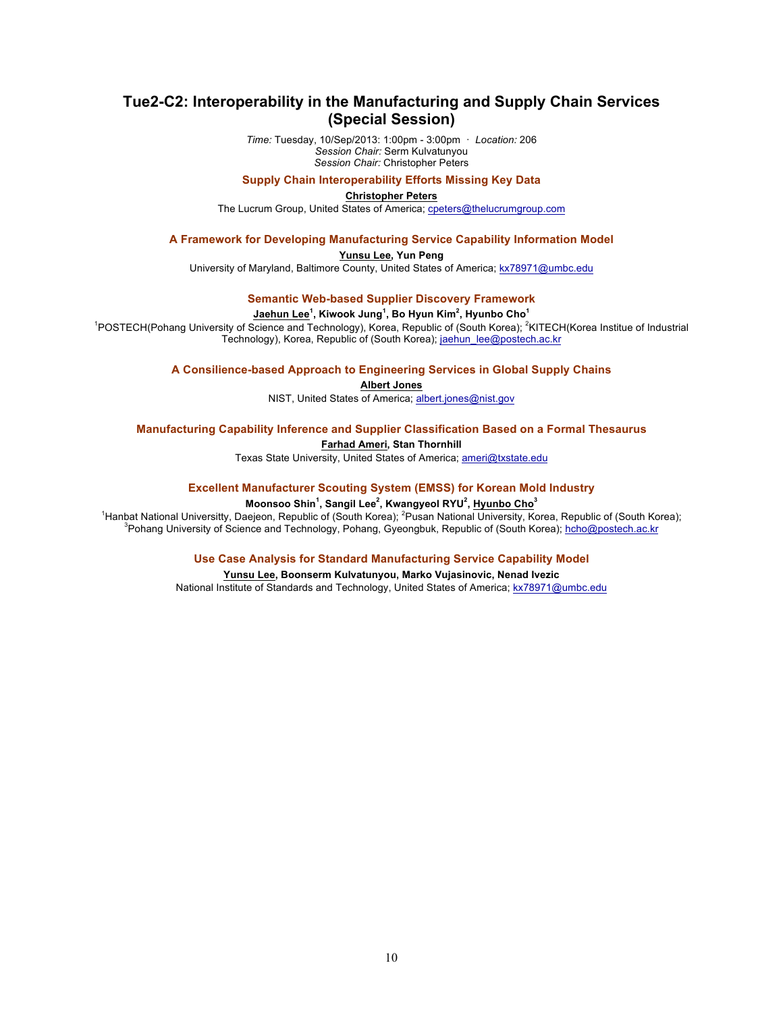## **Tue2-C2: Interoperability in the Manufacturing and Supply Chain Services (Special Session)**

*Time:* Tuesday, 10/Sep/2013: 1:00pm - 3:00pm · *Location:* 206 *Session Chair:* Serm Kulvatunyou *Session Chair:* Christopher Peters

#### **Supply Chain Interoperability Efforts Missing Key Data**

**Christopher Peters**

The Lucrum Group, United States of America; cpeters@thelucrumgroup.com

#### **A Framework for Developing Manufacturing Service Capability Information Model**

**Yunsu Lee, Yun Peng**

University of Maryland, Baltimore County, United States of America; kx78971@umbc.edu

## **Semantic Web-based Supplier Discovery Framework**

#### **Jaehun Lee<sup>1</sup> , Kiwook Jung<sup>1</sup> , Bo Hyun Kim<sup>2</sup> , Hyunbo Cho<sup>1</sup>**

<sup>1</sup>POSTECH(Pohang University of Science and Technology), Korea, Republic of (South Korea); <sup>2</sup>KITECH(Korea Institue of Industrial Technology), Korea, Republic of (South Korea); jaehun\_lee@postech.ac.kr

#### **A Consilience-based Approach to Engineering Services in Global Supply Chains**

**Albert Jones**

NIST, United States of America; albert.jones@nist.gov

#### **Manufacturing Capability Inference and Supplier Classification Based on a Formal Thesaurus**

#### **Farhad Ameri, Stan Thornhill**

Texas State University, United States of America; ameri@txstate.edu

#### **Excellent Manufacturer Scouting System (EMSS) for Korean Mold Industry**

#### **Moonsoo Shin<sup>1</sup> , Sangil Lee<sup>2</sup> , Kwangyeol RYU<sup>2</sup> , Hyunbo Cho<sup>3</sup>**

<sup>1</sup> Hanbat National Universitty, Daejeon, Republic of (South Korea); <sup>2</sup> Pusan National University, Korea, Republic of (South Korea); <sup>3</sup> Pusan National University, Korea, Republic of (South Korea); <sup>3</sup> Public of Cointer <sup>3</sup> Pohang University of Science and Technology, Pohang, Gyeongbuk, Republic of (South Korea); hcho@postech.ac.kr

#### **Use Case Analysis for Standard Manufacturing Service Capability Model**

#### **Yunsu Lee, Boonserm Kulvatunyou, Marko Vujasinovic, Nenad Ivezic** National Institute of Standards and Technology, United States of America; kx78971@umbc.edu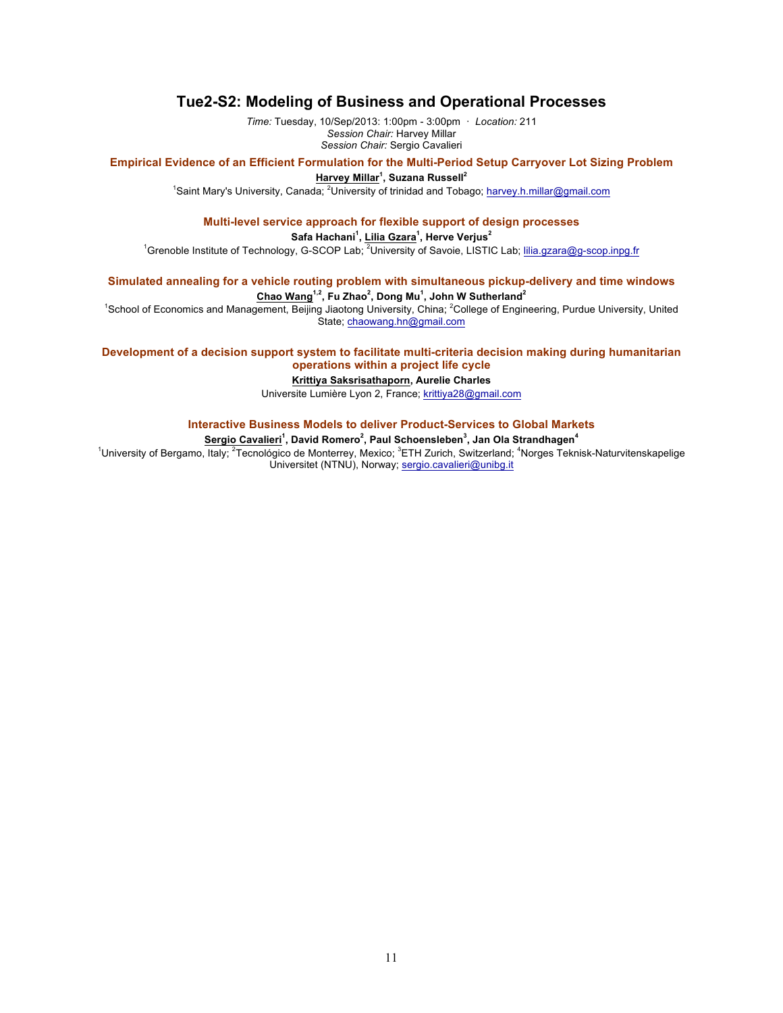## **Tue2-S2: Modeling of Business and Operational Processes**

*Time:* Tuesday, 10/Sep/2013: 1:00pm - 3:00pm · *Location:* 211 *Session Chair:* Harvey Millar *Session Chair:* Sergio Cavalieri

#### **Empirical Evidence of an Efficient Formulation for the Multi-Period Setup Carryover Lot Sizing Problem**

**Harvey Millar<sup>1</sup> , Suzana Russell<sup>2</sup>**

<sup>1</sup>Saint Mary's University, Canada; <sup>2</sup>University of trinidad and Tobago; harvey.h.millar@gmail.com

#### **Multi-level service approach for flexible support of design processes**

#### **Safa Hachani<sup>1</sup> , Lilia Gzara<sup>1</sup> , Herve Verjus<sup>2</sup>**

<sup>1</sup>Grenoble Institute of Technology, G-SCOP Lab; <sup>2</sup>University of Savoie, LISTIC Lab; lilia.gzara@g-scop.inpg.fr

# **Simulated annealing for a vehicle routing problem with simultaneous pickup-delivery and time windows**

## **Chao Wang1,2, Fu Zhao2 , Dong Mu<sup>1</sup> , John W Sutherland<sup>2</sup>**

<sup>1</sup>School of Economics and Management, Beijing Jiaotong University, China; <sup>2</sup>College of Engineering, Purdue University, United State; chaowang.hn@gmail.com

### **Development of a decision support system to facilitate multi-criteria decision making during humanitarian operations within a project life cycle**

### **Krittiya Saksrisathaporn, Aurelie Charles**

Universite Lumière Lyon 2, France; krittiya28@gmail.com

## **Interactive Business Models to deliver Product-Services to Global Markets**

#### **Sergio Cavalieri<sup>1</sup> , David Romero<sup>2</sup> , Paul Schoensleben<sup>3</sup> , Jan Ola Strandhagen<sup>4</sup>**

<sup>1</sup>University of Bergamo, Italy; <sup>2</sup>Tecnológico de Monterrey, Mexico; <sup>3</sup>ETH Zurich, Switzerland; <sup>4</sup>Norges Teknisk-Naturvitenskapelige Universitet (NTNU), Norway; sergio.cavalieri@unibg.it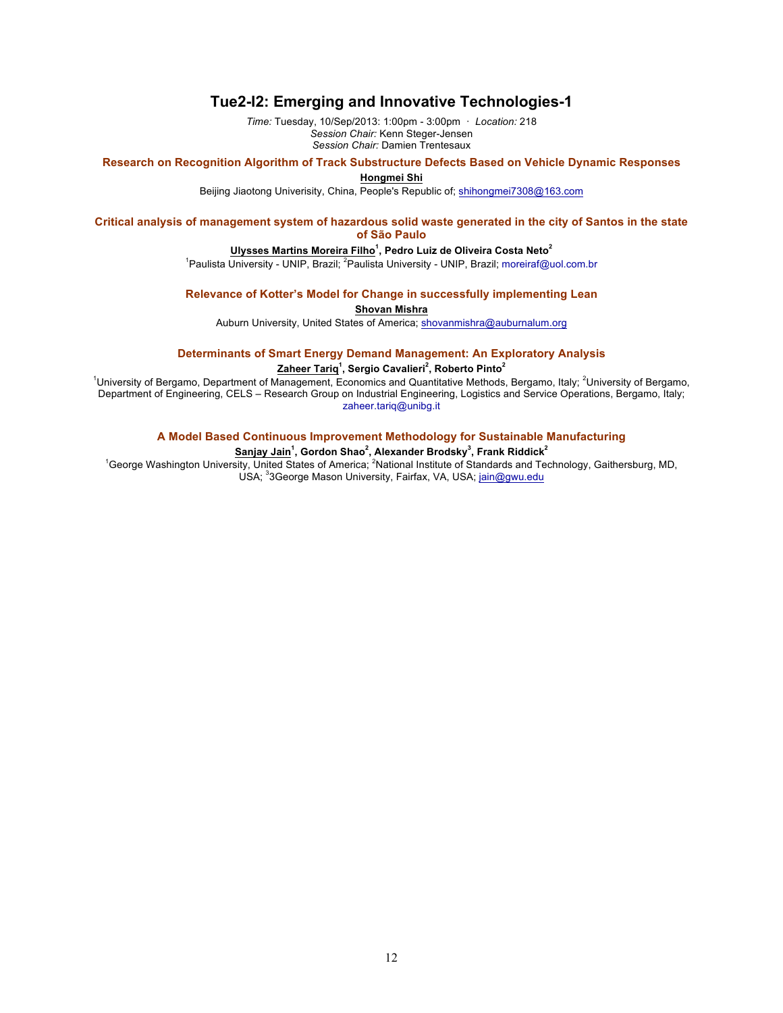## **Tue2-I2: Emerging and Innovative Technologies-1**

*Time:* Tuesday, 10/Sep/2013: 1:00pm - 3:00pm · *Location:* 218 *Session Chair:* Kenn Steger-Jensen *Session Chair:* Damien Trentesaux

#### **Research on Recognition Algorithm of Track Substructure Defects Based on Vehicle Dynamic Responses**

**Hongmei Shi**

Beijing Jiaotong Univerisity, China, People's Republic of; shihongmei7308@163.com

### **Critical analysis of management system of hazardous solid waste generated in the city of Santos in the state of São Paulo**

#### **Ulysses Martins Moreira Filho<sup>1</sup> , Pedro Luiz de Oliveira Costa Neto<sup>2</sup>**

<sup>1</sup>Paulista University - UNIP, Brazil; <sup>2</sup>Paulista University - UNIP, Brazil; moreiraf@uol.com.br

**Relevance of Kotter's Model for Change in successfully implementing Lean**

**Shovan Mishra**

Auburn University, United States of America; shovanmishra@auburnalum.org

#### **Determinants of Smart Energy Demand Management: An Exploratory Analysis**

**Zaheer Tariq<sup>1</sup> , Sergio Cavalieri<sup>2</sup> , Roberto Pinto<sup>2</sup>**

<sup>1</sup>University of Bergamo, Department of Management, Economics and Quantitative Methods, Bergamo, Italy; <sup>2</sup>University of Bergamo, Department of Engineering, CELS – Research Group on Industrial Engineering, Logistics and Service Operations, Bergamo, Italy; zaheer.tariq@unibg.it

### **A Model Based Continuous Improvement Methodology for Sustainable Manufacturing**

#### **Sanjay Jain<sup>1</sup> , Gordon Shao<sup>2</sup> , Alexander Brodsky<sup>3</sup> , Frank Riddick<sup>2</sup>**

<sup>1</sup>George Washington University, United States of America; <sup>2</sup>National Institute of Standards and Technology, Gaithersburg, MD, USA; <sup>3</sup>3George Mason University, Fairfax, VA, USA; jain@gwu.edu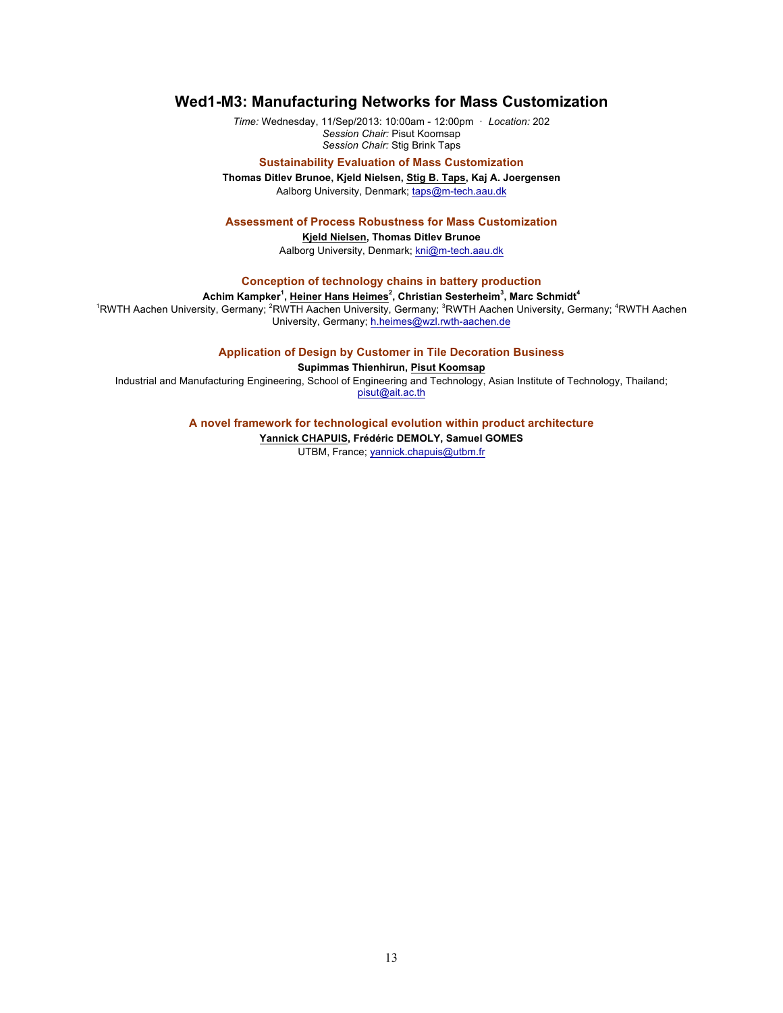## **Wed1-M3: Manufacturing Networks for Mass Customization**

*Time:* Wednesday, 11/Sep/2013: 10:00am - 12:00pm · *Location:* 202 *Session Chair:* Pisut Koomsap *Session Chair:* Stig Brink Taps

#### **Sustainability Evaluation of Mass Customization**

**Thomas Ditlev Brunoe, Kjeld Nielsen, Stig B. Taps, Kaj A. Joergensen** Aalborg University, Denmark; taps@m-tech.aau.dk

#### **Assessment of Process Robustness for Mass Customization**

**Kjeld Nielsen, Thomas Ditlev Brunoe** Aalborg University, Denmark; kni@m-tech.aau.dk

**Conception of technology chains in battery production**

#### $\boldsymbol{\mathsf{A}}$ chim Kampker $^1$ , Heiner Hans Heimes $^2$ , Christian Sesterheim $^3$ , Marc Schmidt $^4$

<sup>1</sup>RWTH Aachen University, Germany; <sup>2</sup>RWTH Aachen University, Germany; <sup>3</sup>RWTH Aachen University, Germany; <sup>4</sup>RWTH Aachen University, Germany; h.heimes@wzl.rwth-aachen.de

### **Application of Design by Customer in Tile Decoration Business**

**Supimmas Thienhirun, Pisut Koomsap**

Industrial and Manufacturing Engineering, School of Engineering and Technology, Asian Institute of Technology, Thailand; pisut@ait.ac.th

**A novel framework for technological evolution within product architecture**

**Yannick CHAPUIS, Frédéric DEMOLY, Samuel GOMES** UTBM, France; yannick.chapuis@utbm.fr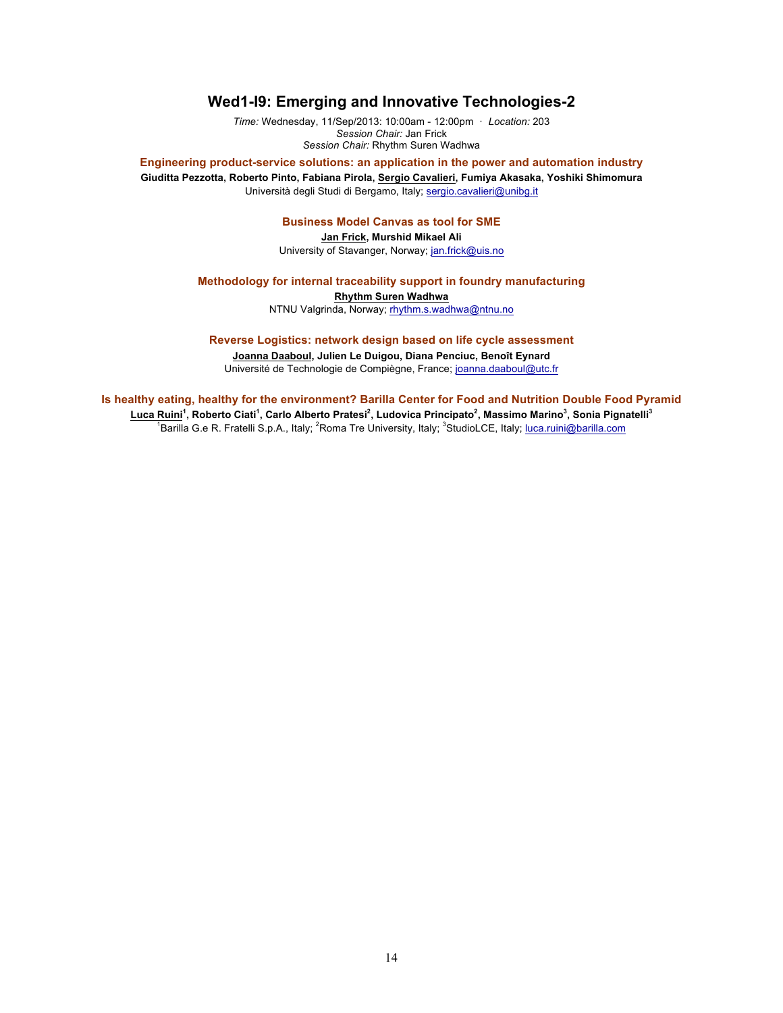## **Wed1-I9: Emerging and Innovative Technologies-2**

*Time:* Wednesday, 11/Sep/2013: 10:00am - 12:00pm · *Location:* 203 *Session Chair:* Jan Frick *Session Chair:* Rhythm Suren Wadhwa

**Engineering product-service solutions: an application in the power and automation industry Giuditta Pezzotta, Roberto Pinto, Fabiana Pirola, Sergio Cavalieri, Fumiya Akasaka, Yoshiki Shimomura** Università degli Studi di Bergamo, Italy; sergio.cavalieri@unibg.it

## **Business Model Canvas as tool for SME**

**Jan Frick, Murshid Mikael Ali** University of Stavanger, Norway; jan.frick@uis.no

### **Methodology for internal traceability support in foundry manufacturing**

**Rhythm Suren Wadhwa**

NTNU Valgrinda, Norway; rhythm.s.wadhwa@ntnu.no

#### **Reverse Logistics: network design based on life cycle assessment**

**Joanna Daaboul, Julien Le Duigou, Diana Penciuc, Benoît Eynard**

Université de Technologie de Compiègne, France; joanna.daaboul@utc.fr

**Is healthy eating, healthy for the environment? Barilla Center for Food and Nutrition Double Food Pyramid Luca Ruini<sup>1</sup> , Roberto Ciati<sup>1</sup> , Carlo Alberto Pratesi<sup>2</sup> , Ludovica Principato<sup>2</sup> , Massimo Marino<sup>3</sup> , Sonia Pignatelli<sup>3</sup>** <sup>1</sup>Barilla G.e R. Fratelli S.p.A., Italy; <sup>2</sup>Roma Tre University, Italy; <sup>3</sup>StudioLCE, Italy; luca.ruini@barilla.com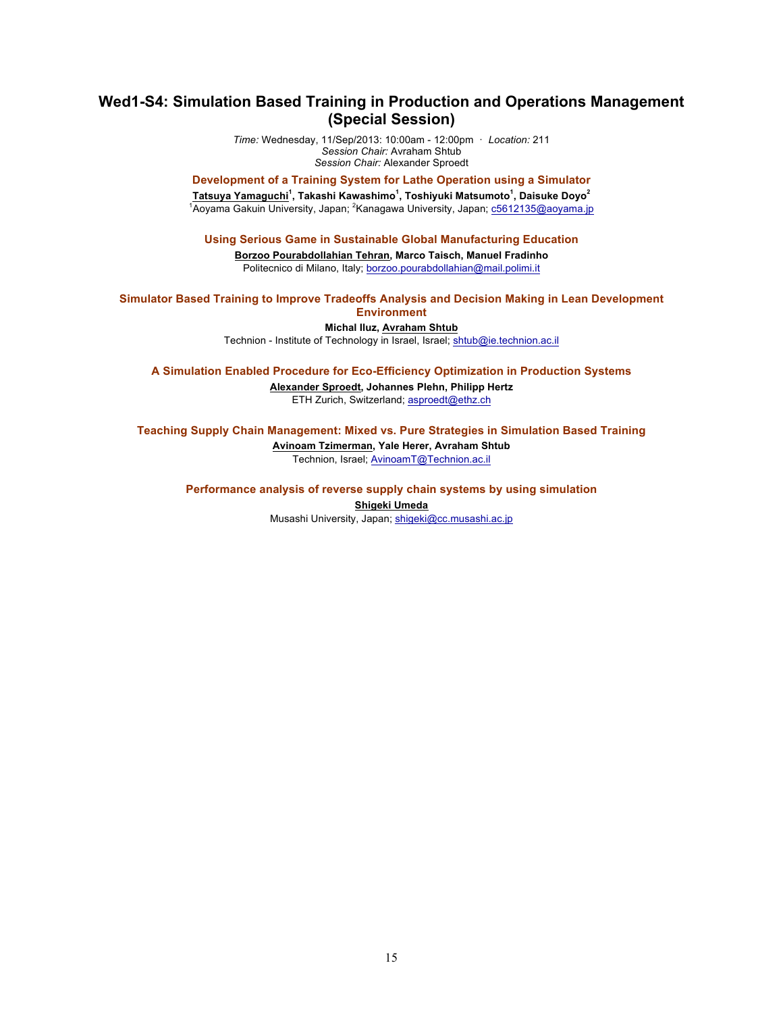## **Wed1-S4: Simulation Based Training in Production and Operations Management (Special Session)**

*Time:* Wednesday, 11/Sep/2013: 10:00am - 12:00pm · *Location:* 211 *Session Chair:* Avraham Shtub *Session Chair:* Alexander Sproedt

## **Development of a Training System for Lathe Operation using a Simulator Tatsuya Yamaguchi<sup>1</sup> , Takashi Kawashimo<sup>1</sup> , Toshiyuki Matsumoto<sup>1</sup> , Daisuke Doyo<sup>2</sup>**

<sup>1</sup>Aoyama Gakuin University, Japan; <sup>2</sup>Kanagawa University, Japan; <u>c5612135@aoyama.jp</u>

#### **Using Serious Game in Sustainable Global Manufacturing Education**

**Borzoo Pourabdollahian Tehran, Marco Taisch, Manuel Fradinho** Politecnico di Milano, Italy; borzoo.pourabdollahian@mail.polimi.it

# **Simulator Based Training to Improve Tradeoffs Analysis and Decision Making in Lean Development**

# **Environment**

**Michal Iluz, Avraham Shtub** Technion - Institute of Technology in Israel, Israel; shtub@ie.technion.ac.il

#### **A Simulation Enabled Procedure for Eco-Efficiency Optimization in Production Systems**

**Alexander Sproedt, Johannes Plehn, Philipp Hertz** ETH Zurich, Switzerland; asproedt@ethz.ch

### **Teaching Supply Chain Management: Mixed vs. Pure Strategies in Simulation Based Training**

**Avinoam Tzimerman, Yale Herer, Avraham Shtub** Technion, Israel; AvinoamT@Technion.ac.il

**Performance analysis of reverse supply chain systems by using simulation Shigeki Umeda** Musashi University, Japan; shigeki@cc.musashi.ac.jp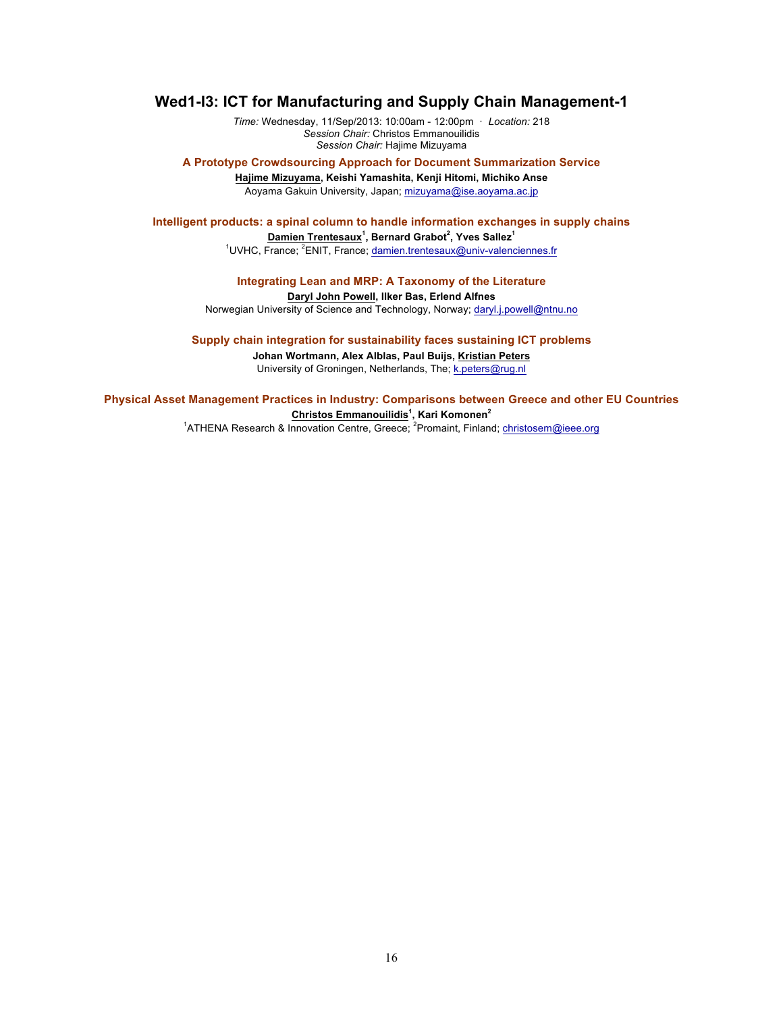## **Wed1-I3: ICT for Manufacturing and Supply Chain Management-1**

*Time:* Wednesday, 11/Sep/2013: 10:00am - 12:00pm · *Location:* 218 *Session Chair:* Christos Emmanouilidis *Session Chair:* Hajime Mizuyama

**A Prototype Crowdsourcing Approach for Document Summarization Service Hajime Mizuyama, Keishi Yamashita, Kenji Hitomi, Michiko Anse** Aoyama Gakuin University, Japan; mizuyama@ise.aoyama.ac.jp

**Intelligent products: a spinal column to handle information exchanges in supply chains Damien Trentesaux<sup>1</sup> , Bernard Grabot<sup>2</sup> , Yves Sallez<sup>1</sup>**

<sup>1</sup>UVHC, France; <sup>2</sup>ENIT, France; damien.trentesaux@univ-valenciennes.fr

## **Integrating Lean and MRP: A Taxonomy of the Literature**

### **Daryl John Powell, Ilker Bas, Erlend Alfnes**

Norwegian University of Science and Technology, Norway; daryl.j.powell@ntnu.no

#### **Supply chain integration for sustainability faces sustaining ICT problems**

**Johan Wortmann, Alex Alblas, Paul Buijs, Kristian Peters** University of Groningen, Netherlands, The; k.peters@rug.nl

## **Physical Asset Management Practices in Industry: Comparisons between Greece and other EU Countries**

**Christos Emmanouilidis<sup>1</sup> , Kari Komonen<sup>2</sup>**

<sup>1</sup>ATHENA Research & Innovation Centre, Greece; <sup>2</sup>Promaint, Finland; christosem@ieee.org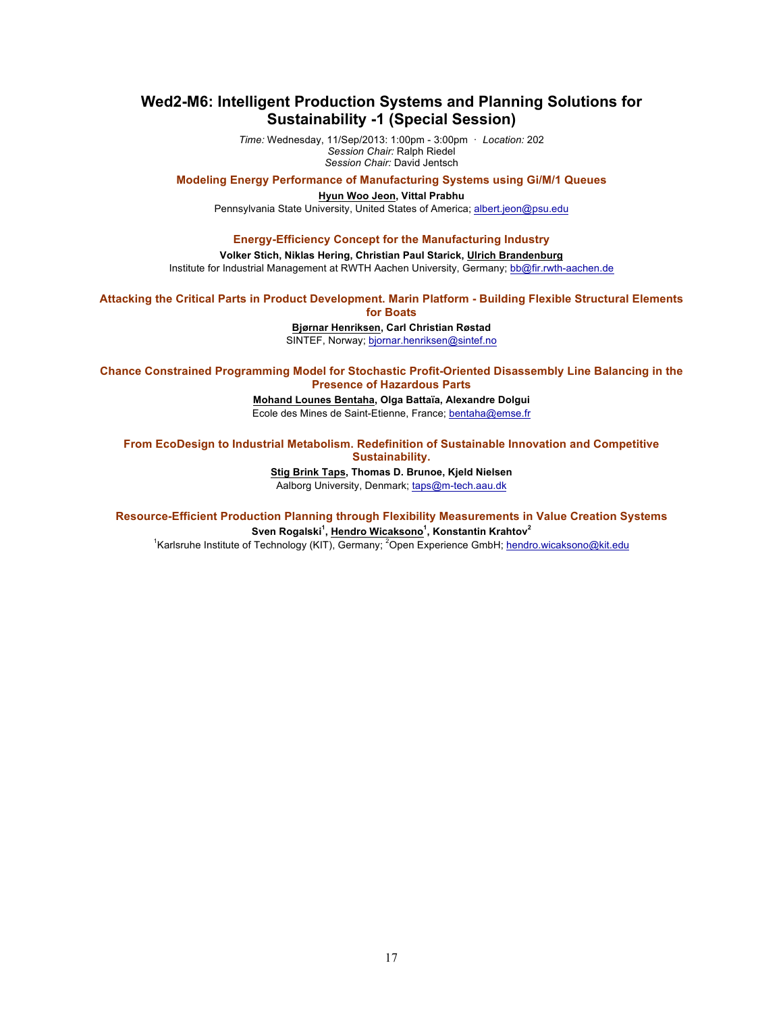## **Wed2-M6: Intelligent Production Systems and Planning Solutions for Sustainability -1 (Special Session)**

*Time:* Wednesday, 11/Sep/2013: 1:00pm - 3:00pm · *Location:* 202 *Session Chair:* Ralph Riedel *Session Chair:* David Jentsch

**Modeling Energy Performance of Manufacturing Systems using Gi/M/1 Queues**

**Hyun Woo Jeon, Vittal Prabhu** Pennsylvania State University, United States of America; albert.jeon@psu.edu

### **Energy-Efficiency Concept for the Manufacturing Industry**

**Volker Stich, Niklas Hering, Christian Paul Starick, Ulrich Brandenburg** Institute for Industrial Management at RWTH Aachen University, Germany; bb@fir.rwth-aachen.de

## **Attacking the Critical Parts in Product Development. Marin Platform - Building Flexible Structural Elements**

**for Boats**

**Bjørnar Henriksen, Carl Christian Røstad**

SINTEF, Norway; bjornar.henriksen@sintef.no

**Chance Constrained Programming Model for Stochastic Profit-Oriented Disassembly Line Balancing in the Presence of Hazardous Parts**

> **Mohand Lounes Bentaha, Olga Battaïa, Alexandre Dolgui** Ecole des Mines de Saint-Etienne, France; bentaha@emse.fr

**From EcoDesign to Industrial Metabolism. Redefinition of Sustainable Innovation and Competitive Sustainability.**

**Stig Brink Taps, Thomas D. Brunoe, Kjeld Nielsen**

Aalborg University, Denmark; taps@m-tech.aau.dk

**Resource-Efficient Production Planning through Flexibility Measurements in Value Creation Systems Sven Rogalski<sup>1</sup> , Hendro Wicaksono<sup>1</sup> , Konstantin Krahtov<sup>2</sup>**

<sup>1</sup>Karlsruhe Institute of Technology (KIT), Germany; <sup>2</sup>Open Experience GmbH; hendro.wicaksono@kit.edu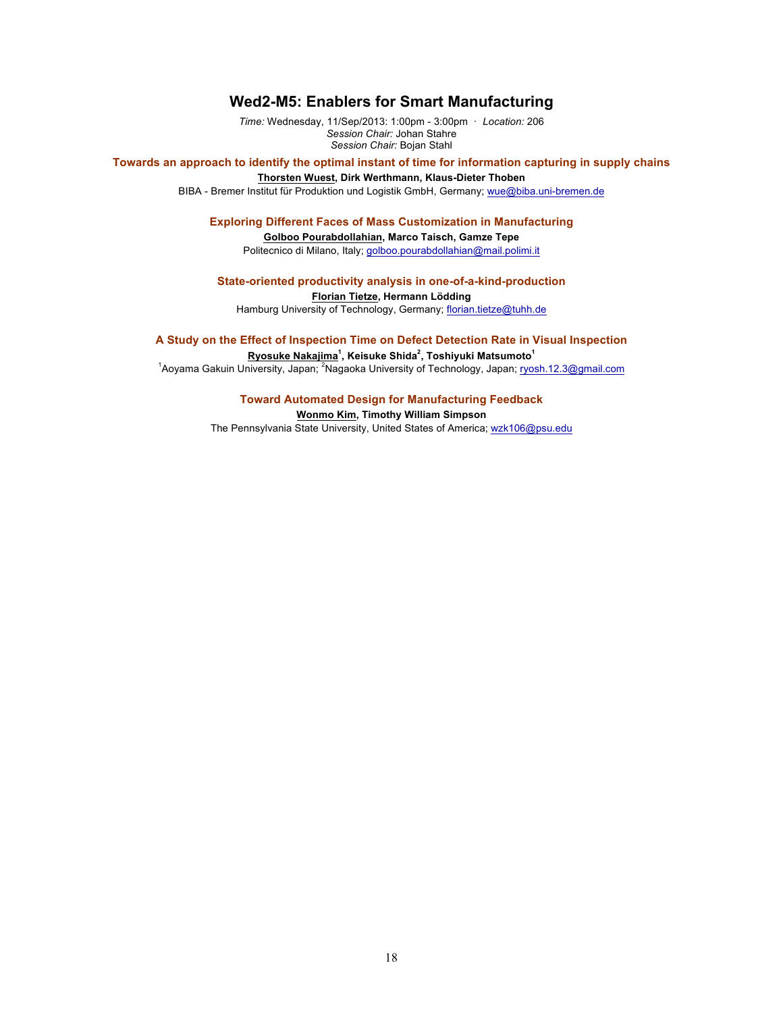## **Wed2-M5: Enablers for Smart Manufacturing**

*Time:* Wednesday, 11/Sep/2013: 1:00pm - 3:00pm · *Location:* 206 *Session Chair:* Johan Stahre *Session Chair:* Bojan Stahl

**Towards an approach to identify the optimal instant of time for information capturing in supply chains Thorsten Wuest, Dirk Werthmann, Klaus-Dieter Thoben**

BIBA - Bremer Institut für Produktion und Logistik GmbH, Germany; wue@biba.uni-bremen.de

#### **Exploring Different Faces of Mass Customization in Manufacturing**

**Golboo Pourabdollahian, Marco Taisch, Gamze Tepe** Politecnico di Milano, Italy; golboo.pourabdollahian@mail.polimi.it

## **State-oriented productivity analysis in one-of-a-kind-production**

**Florian Tietze, Hermann Lödding** Hamburg University of Technology, Germany; florian.tietze@tuhh.de

#### **A Study on the Effect of Inspection Time on Defect Detection Rate in Visual Inspection**

**Ryosuke Nakajima<sup>1</sup> , Keisuke Shida<sup>2</sup> , Toshiyuki Matsumoto<sup>1</sup>**

<sup>1</sup> Aoyama Gakuin University, Japan; <sup>2</sup> Nagaoka University of Technology, Japan; ryosh.12.3@gmail.com

**Toward Automated Design for Manufacturing Feedback Wonmo Kim, Timothy William Simpson** The Pennsylvania State University, United States of America; wzk106@psu.edu

18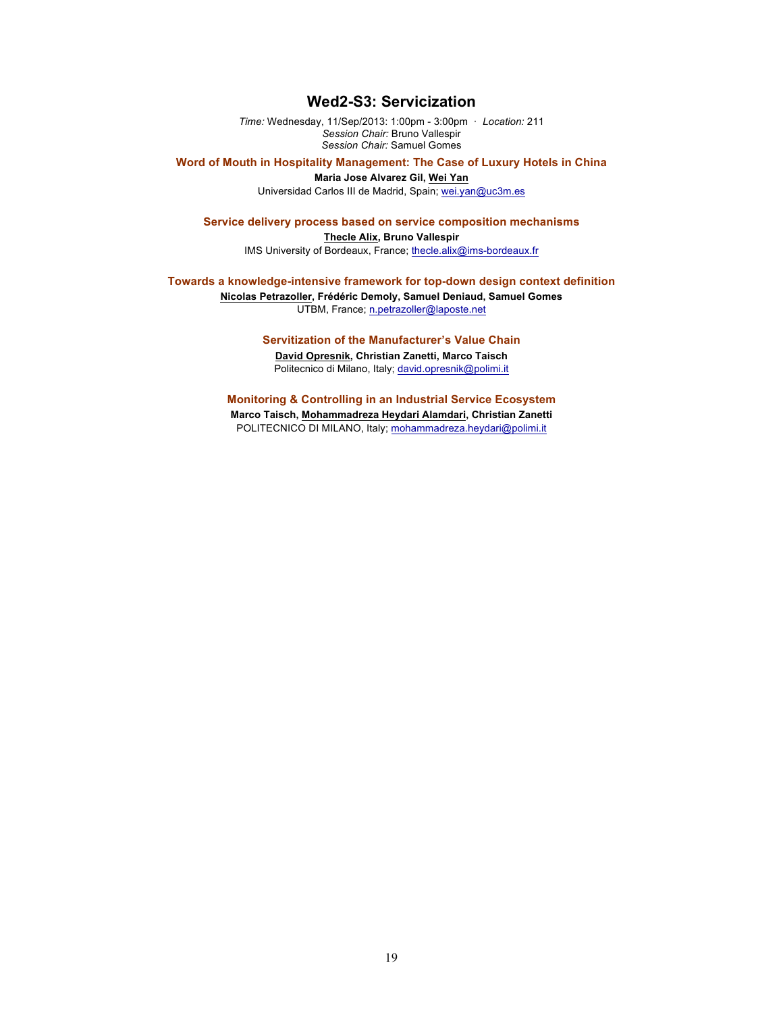## **Wed2-S3: Servicization**

*Time:* Wednesday, 11/Sep/2013: 1:00pm - 3:00pm · *Location:* 211 *Session Chair:* Bruno Vallespir *Session Chair:* Samuel Gomes

**Word of Mouth in Hospitality Management: The Case of Luxury Hotels in China**

**Maria Jose Alvarez Gil, Wei Yan**

Universidad Carlos III de Madrid, Spain; wei.yan@uc3m.es

## **Service delivery process based on service composition mechanisms**

**Thecle Alix, Bruno Vallespir** IMS University of Bordeaux, France; thecle.alix@ims-bordeaux.fr

## **Towards a knowledge-intensive framework for top-down design context definition Nicolas Petrazoller, Frédéric Demoly, Samuel Deniaud, Samuel Gomes**

UTBM, France; n.petrazoller@laposte.net

**Servitization of the Manufacturer's Value Chain David Opresnik, Christian Zanetti, Marco Taisch** Politecnico di Milano, Italy; david.opresnik@polimi.it

**Monitoring & Controlling in an Industrial Service Ecosystem Marco Taisch, Mohammadreza Heydari Alamdari, Christian Zanetti** POLITECNICO DI MILANO, Italy; mohammadreza.heydari@polimi.it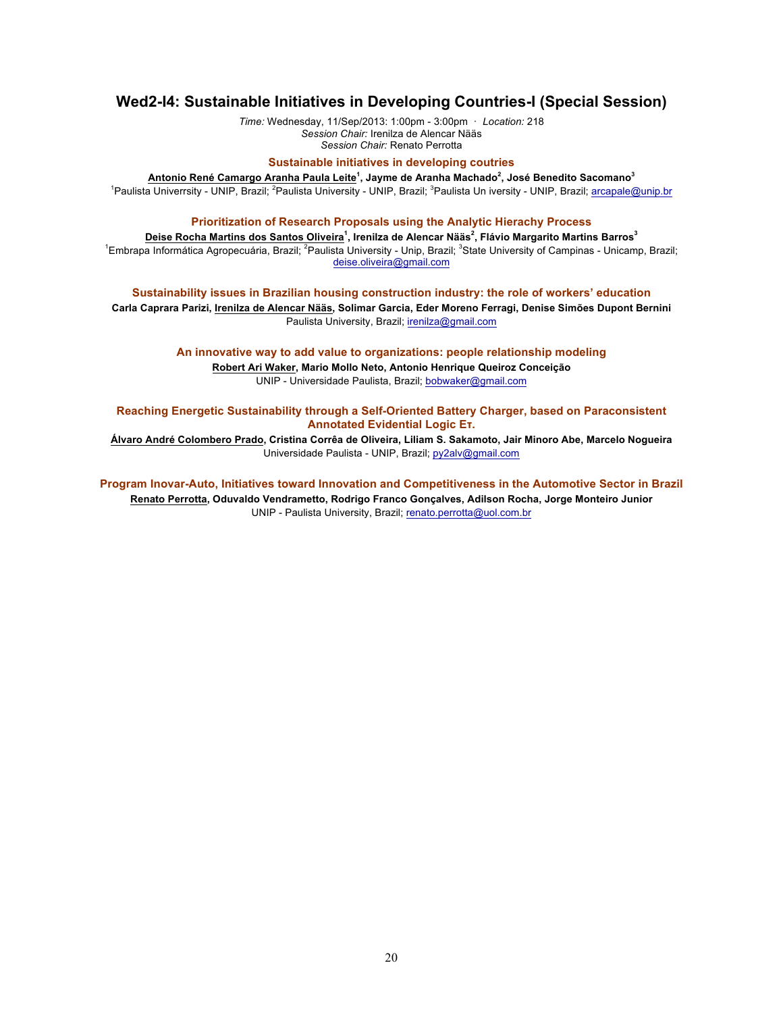## **Wed2-I4: Sustainable Initiatives in Developing Countries-I (Special Session)**

*Time:* Wednesday, 11/Sep/2013: 1:00pm - 3:00pm · *Location:* 218 *Session Chair:* Irenilza de Alencar Nääs *Session Chair:* Renato Perrotta

### **Sustainable initiatives in developing coutries**

**Antonio René Camargo Aranha Paula Leite<sup>1</sup> , Jayme de Aranha Machado<sup>2</sup> , José Benedito Sacomano<sup>3</sup>** <sup>1</sup>Paulista Univerrsity - UNIP, Brazil; <sup>2</sup>Paulista University - UNIP, Brazil; <sup>3</sup>Paulista Un iversity - UNIP, Brazil; arcapale@unip.br

#### **Prioritization of Research Proposals using the Analytic Hierachy Process**

**Deise Rocha Martins dos Santos Oliveira<sup>1</sup> , Irenilza de Alencar Nääs<sup>2</sup> , Flávio Margarito Martins Barros<sup>3</sup>** <sup>1</sup>Embrapa Informática Agropecuária, Brazil; <sup>2</sup>Paulista University - Unip, Brazil; <sup>3</sup>State University of Campinas - Unicamp, Brazil; deise.oliveira@gmail.com

**Sustainability issues in Brazilian housing construction industry: the role of workers' education**

**Carla Caprara Parizi, Irenilza de Alencar Nääs, Solimar Garcia, Eder Moreno Ferragi, Denise Simões Dupont Bernini** Paulista University, Brazil; irenilza@gmail.com

**An innovative way to add value to organizations: people relationship modeling**

**Robert Ari Waker, Mario Mollo Neto, Antonio Henrique Queiroz Conceição** UNIP - Universidade Paulista, Brazil; bobwaker@gmail.com

**Reaching Energetic Sustainability through a Self-Oriented Battery Charger, based on Paraconsistent Annotated Evidential Logic Eτ.**

**Álvaro André Colombero Prado, Cristina Corrêa de Oliveira, Liliam S. Sakamoto, Jair Minoro Abe, Marcelo Nogueira** Universidade Paulista - UNIP, Brazil; py2alv@gmail.com

**Program Inovar-Auto, Initiatives toward Innovation and Competitiveness in the Automotive Sector in Brazil Renato Perrotta, Oduvaldo Vendrametto, Rodrigo Franco Gonçalves, Adilson Rocha, Jorge Monteiro Junior** UNIP - Paulista University, Brazil; renato.perrotta@uol.com.br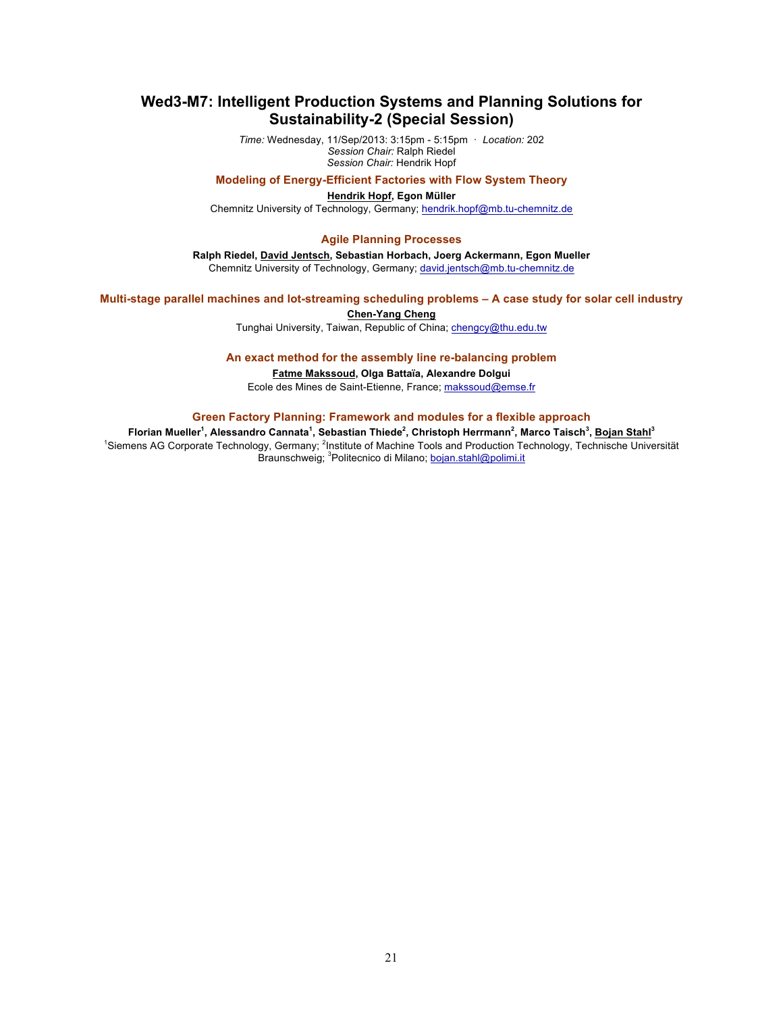## **Wed3-M7: Intelligent Production Systems and Planning Solutions for Sustainability-2 (Special Session)**

*Time:* Wednesday, 11/Sep/2013: 3:15pm - 5:15pm · *Location:* 202 *Session Chair:* Ralph Riedel *Session Chair:* Hendrik Hopf

### **Modeling of Energy-Efficient Factories with Flow System Theory**

**Hendrik Hopf, Egon Müller** Chemnitz University of Technology, Germany; hendrik.hopf@mb.tu-chemnitz.de

#### **Agile Planning Processes**

**Ralph Riedel, David Jentsch, Sebastian Horbach, Joerg Ackermann, Egon Mueller** Chemnitz University of Technology, Germany; david.jentsch@mb.tu-chemnitz.de

### **Multi-stage parallel machines and lot-streaming scheduling problems – A case study for solar cell industry**

#### **Chen-Yang Cheng**

Tunghai University, Taiwan, Republic of China; chengcy@thu.edu.tw

**An exact method for the assembly line re-balancing problem**

**Fatme Makssoud, Olga Battaïa, Alexandre Dolgui** Ecole des Mines de Saint-Etienne, France; makssoud@emse.fr

### **Green Factory Planning: Framework and modules for a flexible approach**

**Florian Mueller<sup>1</sup> , Alessandro Cannata<sup>1</sup> , Sebastian Thiede<sup>2</sup> , Christoph Herrmann<sup>2</sup> , Marco Taisch<sup>3</sup> , Bojan Stahl<sup>3</sup>** <sup>1</sup>Siemens AG Corporate Technology, Germany; <sup>2</sup>Institute of Machine Tools and Production Technology, Technische Universität **Braunschweig; <sup>3</sup>Politecnico di Milano; bojan.stahl@polimi.it**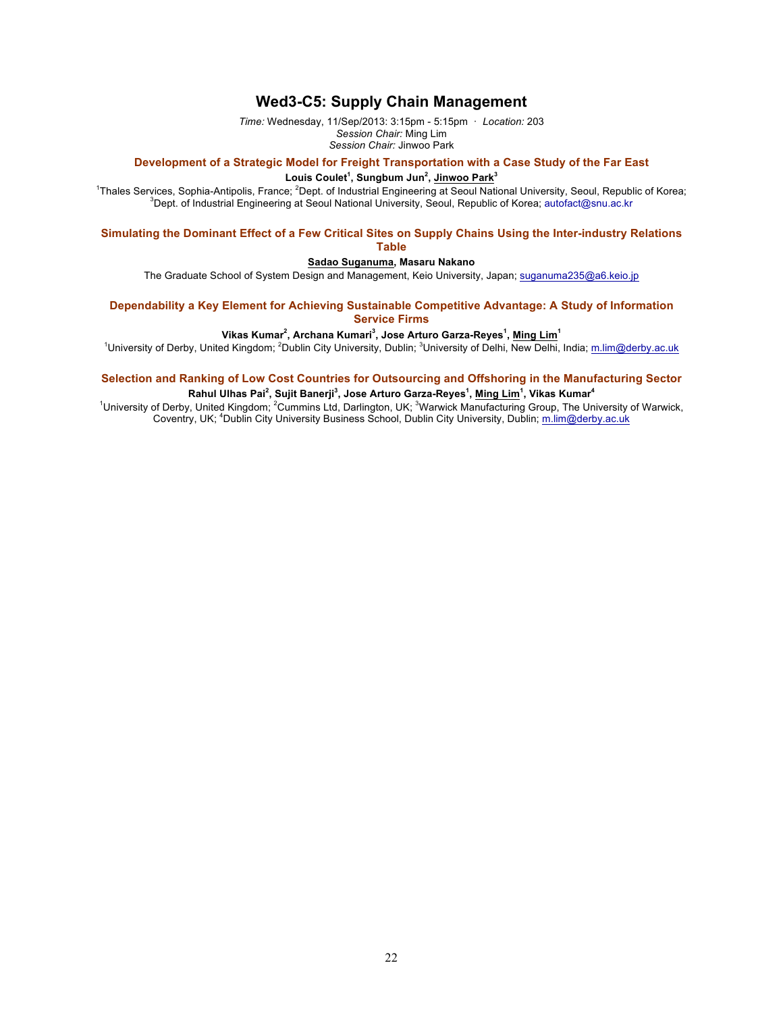## **Wed3-C5: Supply Chain Management**

*Time:* Wednesday, 11/Sep/2013: 3:15pm - 5:15pm · *Location:* 203 *Session Chair:* Ming Lim

*Session Chair:* Jinwoo Park

## **Development of a Strategic Model for Freight Transportation with a Case Study of the Far East**

#### **Louis Coulet<sup>1</sup> , Sungbum Jun<sup>2</sup> , Jinwoo Park<sup>3</sup>**

<sup>1</sup>Thales Services, Sophia-Antipolis, France; <sup>2</sup>Dept. of Industrial Engineering at Seoul National University, Seoul, Republic of Korea;<br><sup>3</sup>Dept. of Industrial Engineering at Seoul National University, Seoul, Republic of K <sup>3</sup>Dept. of Industrial Engineering at Seoul National University, Seoul, Republic of Korea; autofact@snu.ac.kr

### **Simulating the Dominant Effect of a Few Critical Sites on Supply Chains Using the Inter-industry Relations Table**

## **Sadao Suganuma, Masaru Nakano**

The Graduate School of System Design and Management, Keio University, Japan; suganuma235@a6.keio.jp

### **Dependability a Key Element for Achieving Sustainable Competitive Advantage: A Study of Information Service Firms**

#### **Vikas Kumar<sup>2</sup> , Archana Kumari<sup>3</sup> , Jose Arturo Garza-Reyes<sup>1</sup> , Ming Lim<sup>1</sup>**

<sup>1</sup>University of Derby, United Kingdom; <sup>2</sup>Dublin City University, Dublin; <sup>3</sup>University of Delhi, New Delhi, India; <u>m.lim@derby.ac.uk</u>

## **Selection and Ranking of Low Cost Countries for Outsourcing and Offshoring in the Manufacturing Sector**

**Rahul Ulhas Pai<sup>2</sup> , Sujit Banerji<sup>3</sup> , Jose Arturo Garza-Reyes<sup>1</sup> , Ming Lim<sup>1</sup> , Vikas Kumar<sup>4</sup>**

<sup>1</sup>University of Derby, United Kingdom; <sup>2</sup>Cummins Ltd, Darlington, UK; <sup>3</sup>Warwick Manufacturing Group, The University of Warwick, Coventry, UK; <sup>4</sup>Dublin City University Business School, Dublin City University, Dublin; m.lim@derby.ac.uk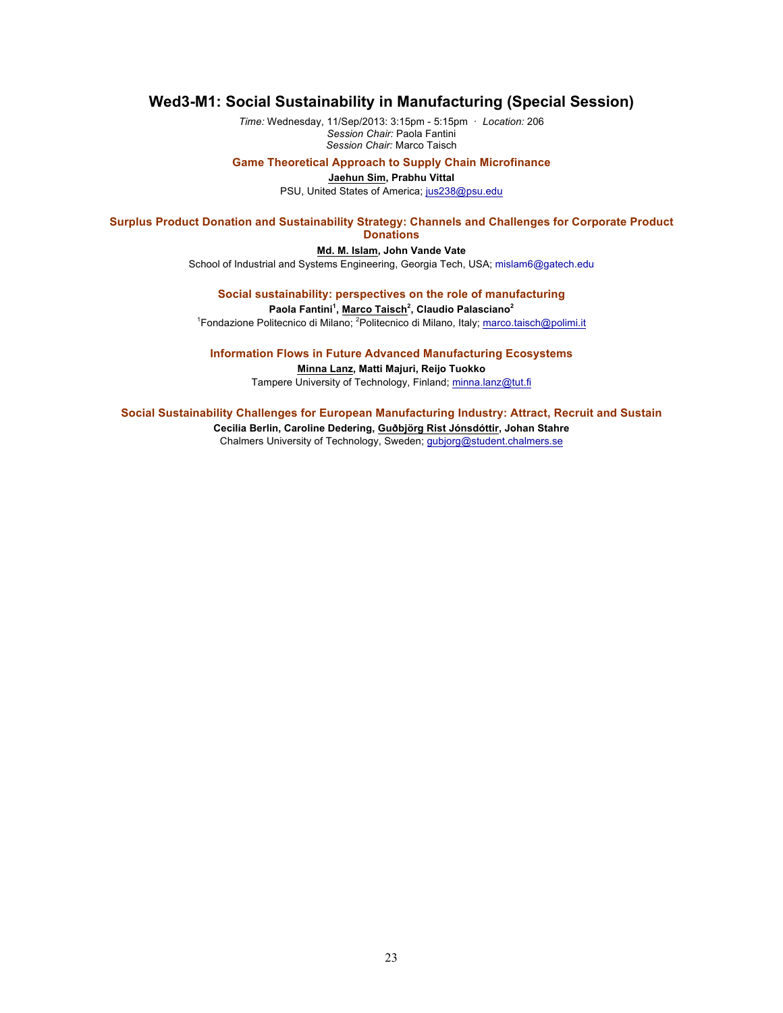## **Wed3-M1: Social Sustainability in Manufacturing (Special Session)**

*Time:* Wednesday, 11/Sep/2013: 3:15pm - 5:15pm · *Location:* 206 *Session Chair:* Paola Fantini *Session Chair:* Marco Taisch

#### **Game Theoretical Approach to Supply Chain Microfinance**

#### **Jaehun Sim, Prabhu Vittal**

PSU, United States of America; jus238@psu.edu

### **Surplus Product Donation and Sustainability Strategy: Channels and Challenges for Corporate Product Donations**

### **Md. M. Islam, John Vande Vate**

School of Industrial and Systems Engineering, Georgia Tech, USA; mislam6@gatech.edu

## **Social sustainability: perspectives on the role of manufacturing**

**Paola Fantini<sup>1</sup> , Marco Taisch<sup>2</sup> , Claudio Palasciano<sup>2</sup>**

<sup>1</sup> Fondazione Politecnico di Milano; <sup>2</sup> Politecnico di Milano, Italy; marco.taisch@polimi.it

### **Information Flows in Future Advanced Manufacturing Ecosystems**

**Minna Lanz, Matti Majuri, Reijo Tuokko** Tampere University of Technology, Finland; minna.lanz@tut.fi

#### **Social Sustainability Challenges for European Manufacturing Industry: Attract, Recruit and Sustain**

**Cecilia Berlin, Caroline Dedering, Guðbjörg Rist Jónsdóttir, Johan Stahre** Chalmers University of Technology, Sweden; gubjorg@student.chalmers.se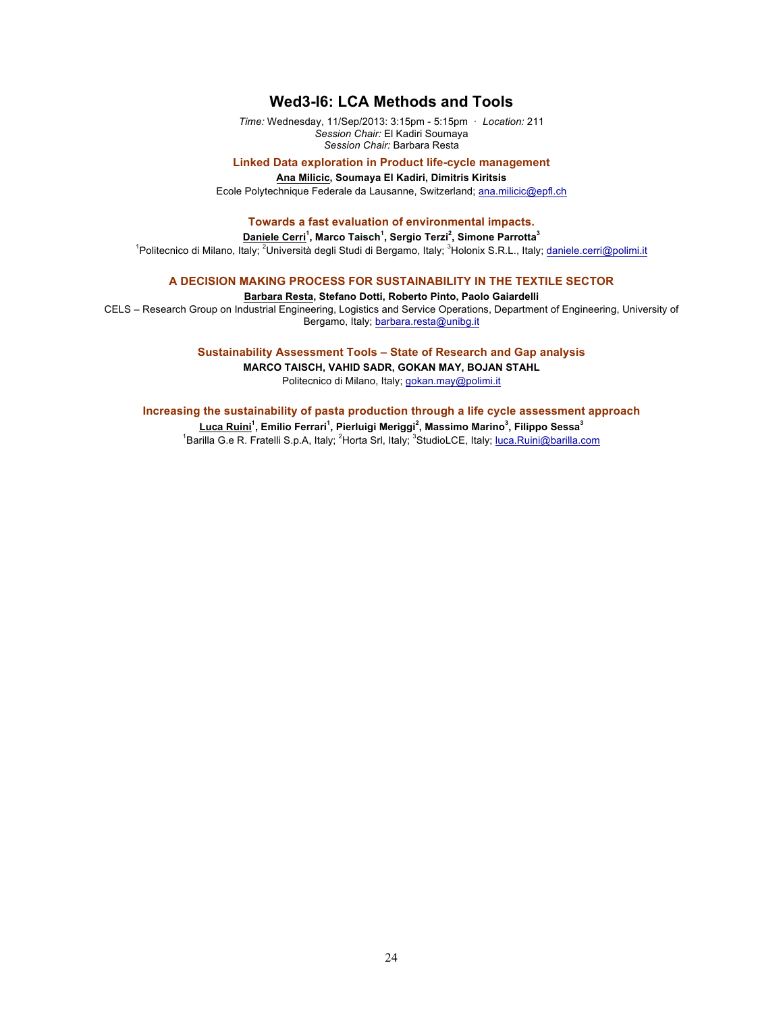## **Wed3-I6: LCA Methods and Tools**

*Time:* Wednesday, 11/Sep/2013: 3:15pm - 5:15pm · *Location:* 211 *Session Chair:* El Kadiri Soumaya *Session Chair:* Barbara Resta

### **Linked Data exploration in Product life-cycle management**

#### **Ana Milicic, Soumaya El Kadiri, Dimitris Kiritsis**

Ecole Polytechnique Federale da Lausanne, Switzerland; ana.milicic@epfl.ch

## **Towards a fast evaluation of environmental impacts.**

#### **Daniele Cerri<sup>1</sup> , Marco Taisch<sup>1</sup> , Sergio Terzi<sup>2</sup> , Simone Parrotta<sup>3</sup>**

<sup>1</sup>Politecnico di Milano, Italy; <sup>2</sup>Università degli Studi di Bergamo, Italy; <sup>3</sup>Holonix S.R.L., Italy; <u>daniele.cerri@polimi.it</u>

## **A DECISION MAKING PROCESS FOR SUSTAINABILITY IN THE TEXTILE SECTOR**

### **Barbara Resta, Stefano Dotti, Roberto Pinto, Paolo Gaiardelli**

CELS – Research Group on Industrial Engineering, Logistics and Service Operations, Department of Engineering, University of Bergamo, Italy; barbara.resta@unibg.it

## **Sustainability Assessment Tools – State of Research and Gap analysis**

**MARCO TAISCH, VAHID SADR, GOKAN MAY, BOJAN STAHL** Politecnico di Milano, Italy; gokan.may@polimi.it

#### **Increasing the sustainability of pasta production through a life cycle assessment approach**

**Luca Ruini<sup>1</sup> , Emilio Ferrari<sup>1</sup> , Pierluigi Meriggi<sup>2</sup> , Massimo Marino<sup>3</sup> , Filippo Sessa<sup>3</sup>** <sup>1</sup>Barilla G.e R. Fratelli S.p.A, Italy; <sup>2</sup>Horta Srl, Italy; <sup>3</sup>StudioLCE, Italy; <u>Iuca.Ruini@barilla.com</u>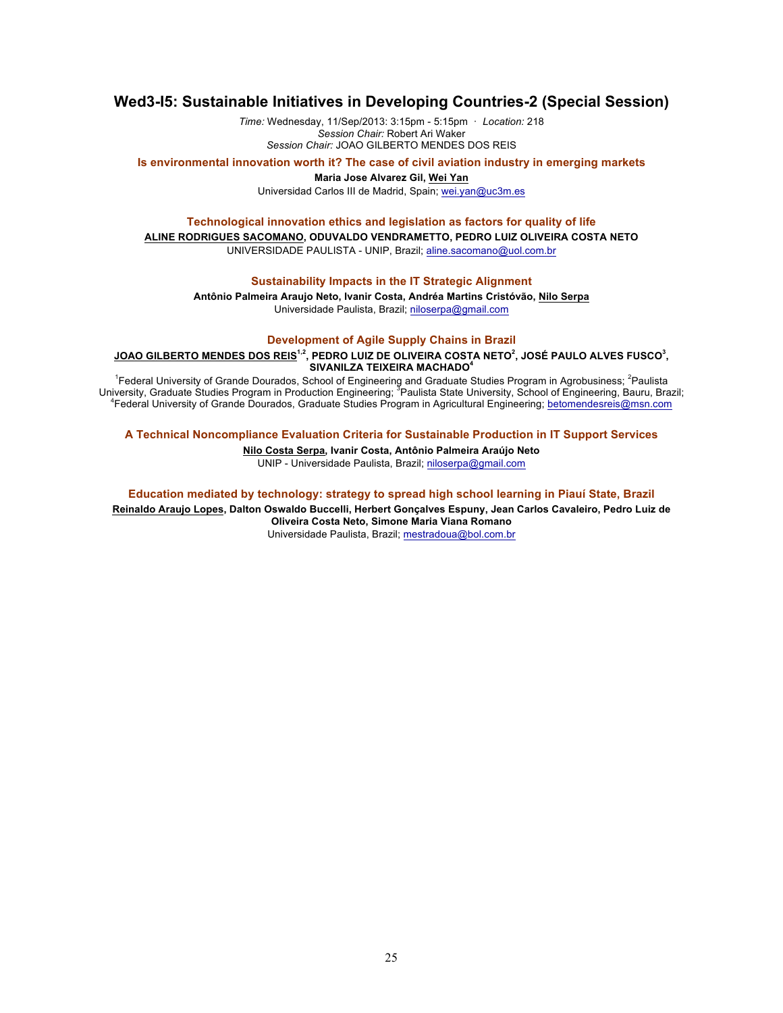## **Wed3-I5: Sustainable Initiatives in Developing Countries-2 (Special Session)**

*Time:* Wednesday, 11/Sep/2013: 3:15pm - 5:15pm · *Location:* 218 *Session Chair:* Robert Ari Waker *Session Chair:* JOAO GILBERTO MENDES DOS REIS

**Is environmental innovation worth it? The case of civil aviation industry in emerging markets**

**Maria Jose Alvarez Gil, Wei Yan**

Universidad Carlos III de Madrid, Spain; wei.yan@uc3m.es

## **Technological innovation ethics and legislation as factors for quality of life**

**ALINE RODRIGUES SACOMANO, ODUVALDO VENDRAMETTO, PEDRO LUIZ OLIVEIRA COSTA NETO**

UNIVERSIDADE PAULISTA - UNIP, Brazil; aline.sacomano@uol.com.br

## **Sustainability Impacts in the IT Strategic Alignment**

**Antônio Palmeira Araujo Neto, Ivanir Costa, Andréa Martins Cristóvão, Nilo Serpa** Universidade Paulista, Brazil; niloserpa@gmail.com

#### **Development of Agile Supply Chains in Brazil**

 $J$ OAO GILBERTO MENDES DOS REIS $^{1,2}$ , PEDRO LUIZ DE OLIVEIRA COSTA NETO $^2$ , JOSÉ PAULO ALVES FUSCO $^3$ , **SIVANILZA TEIXEIRA MACHADO<sup>4</sup>**

<sup>1</sup>Federal University of Grande Dourados, School of Engineering and Graduate Studies Program in Agrobusiness; <sup>2</sup>Paulista<br>University, Graduate Studies Program in Production Engineering; <sup>3</sup>Paulista State University, School

**A Technical Noncompliance Evaluation Criteria for Sustainable Production in IT Support Services**

## **Nilo Costa Serpa, Ivanir Costa, Antônio Palmeira Araújo Neto**

UNIP - Universidade Paulista, Brazil; niloserpa@gmail.com

**Education mediated by technology: strategy to spread high school learning in Piauí State, Brazil Reinaldo Araujo Lopes, Dalton Oswaldo Buccelli, Herbert Gonçalves Espuny, Jean Carlos Cavaleiro, Pedro Luiz de Oliveira Costa Neto, Simone Maria Viana Romano**

Universidade Paulista, Brazil; mestradoua@bol.com.br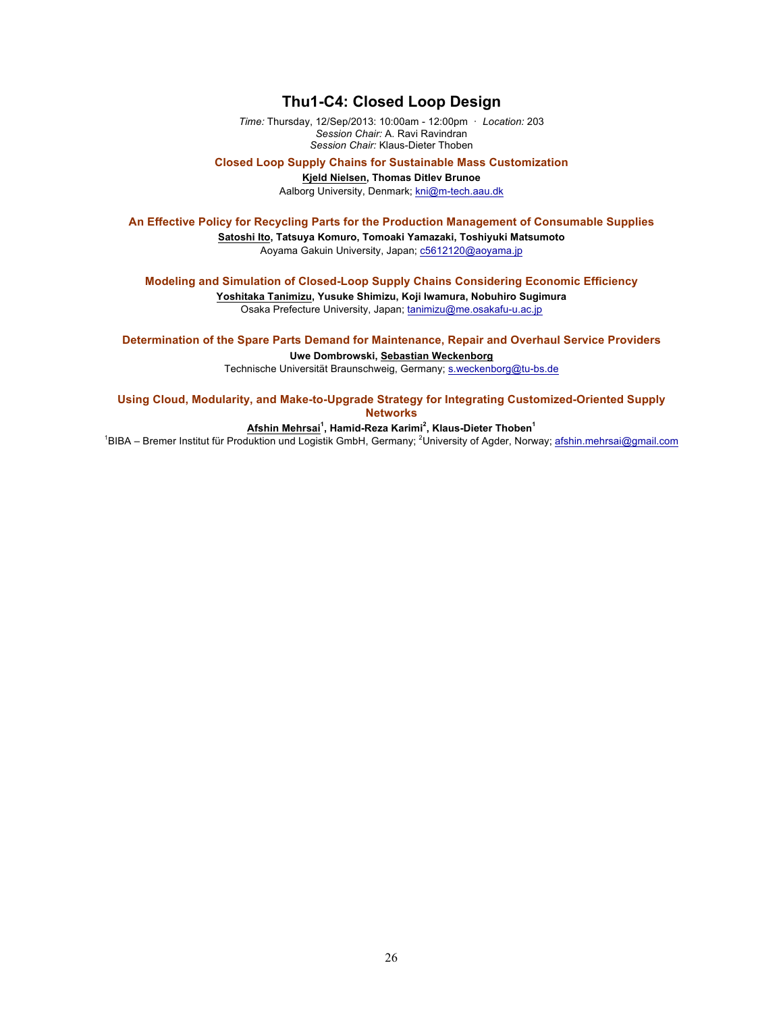## **Thu1-C4: Closed Loop Design**

*Time:* Thursday, 12/Sep/2013: 10:00am - 12:00pm · *Location:* 203 *Session Chair:* A. Ravi Ravindran *Session Chair:* Klaus-Dieter Thoben

**Closed Loop Supply Chains for Sustainable Mass Customization**

**Kjeld Nielsen, Thomas Ditlev Brunoe**

Aalborg University, Denmark; kni@m-tech.aau.dk

**An Effective Policy for Recycling Parts for the Production Management of Consumable Supplies**

**Satoshi Ito, Tatsuya Komuro, Tomoaki Yamazaki, Toshiyuki Matsumoto** Aoyama Gakuin University, Japan; c5612120@aoyama.jp

**Modeling and Simulation of Closed-Loop Supply Chains Considering Economic Efficiency**

**Yoshitaka Tanimizu, Yusuke Shimizu, Koji Iwamura, Nobuhiro Sugimura** Osaka Prefecture University, Japan; tanimizu@me.osakafu-u.ac.jp

**Determination of the Spare Parts Demand for Maintenance, Repair and Overhaul Service Providers Uwe Dombrowski, Sebastian Weckenborg**

Technische Universität Braunschweig, Germany; s.weckenborg@tu-bs.de

**Using Cloud, Modularity, and Make-to-Upgrade Strategy for Integrating Customized-Oriented Supply Networks**

**Afshin Mehrsai<sup>1</sup> , Hamid-Reza Karimi<sup>2</sup> , Klaus-Dieter Thoben<sup>1</sup>**

<sup>1</sup>BIBA – Bremer Institut für Produktion und Logistik GmbH, Germany; <sup>2</sup>University of Agder, Norway; afshin.mehrsai@gmail.com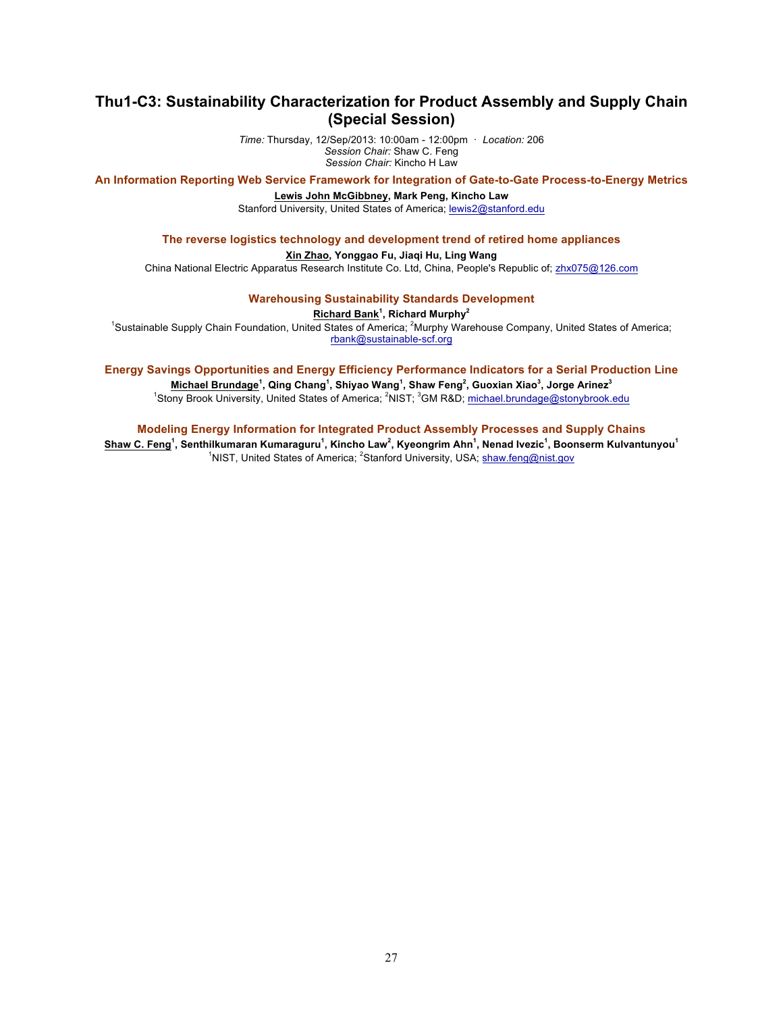## **Thu1-C3: Sustainability Characterization for Product Assembly and Supply Chain (Special Session)**

*Time:* Thursday, 12/Sep/2013: 10:00am - 12:00pm · *Location:* 206 *Session Chair:* Shaw C. Feng *Session Chair:* Kincho H Law

**An Information Reporting Web Service Framework for Integration of Gate-to-Gate Process-to-Energy Metrics**

### **Lewis John McGibbney, Mark Peng, Kincho Law**

Stanford University, United States of America; lewis2@stanford.edu

#### **The reverse logistics technology and development trend of retired home appliances**

## **Xin Zhao, Yonggao Fu, Jiaqi Hu, Ling Wang**

China National Electric Apparatus Research Institute Co. Ltd, China, People's Republic of; zhx075@126.com

**Warehousing Sustainability Standards Development**

#### **Richard Bank<sup>1</sup> , Richard Murphy<sup>2</sup>**

<sup>1</sup>Sustainable Supply Chain Foundation, United States of America; <sup>2</sup>Murphy Warehouse Company, United States of America; rbank@sustainable-scf.org

### **Energy Savings Opportunities and Energy Efficiency Performance Indicators for a Serial Production Line**

**Michael Brundage<sup>1</sup> , Qing Chang<sup>1</sup> , Shiyao Wang<sup>1</sup> , Shaw Feng<sup>2</sup> , Guoxian Xiao<sup>3</sup> , Jorge Arinez<sup>3</sup>** <sup>1</sup>Stony Brook University, United States of America; <sup>2</sup>NIST; <sup>3</sup>GM R&D; michael.brundage@stonybrook.edu

#### **Modeling Energy Information for Integrated Product Assembly Processes and Supply Chains**

**Shaw C. Feng<sup>1</sup> , Senthilkumaran Kumaraguru<sup>1</sup> , Kincho Law<sup>2</sup> , Kyeongrim Ahn<sup>1</sup> , Nenad Ivezic<sup>1</sup> , Boonserm Kulvantunyou<sup>1</sup>** <sup>1</sup>NIST, United States of America; <sup>2</sup>Stanford University, USA; shaw.feng@nist.gov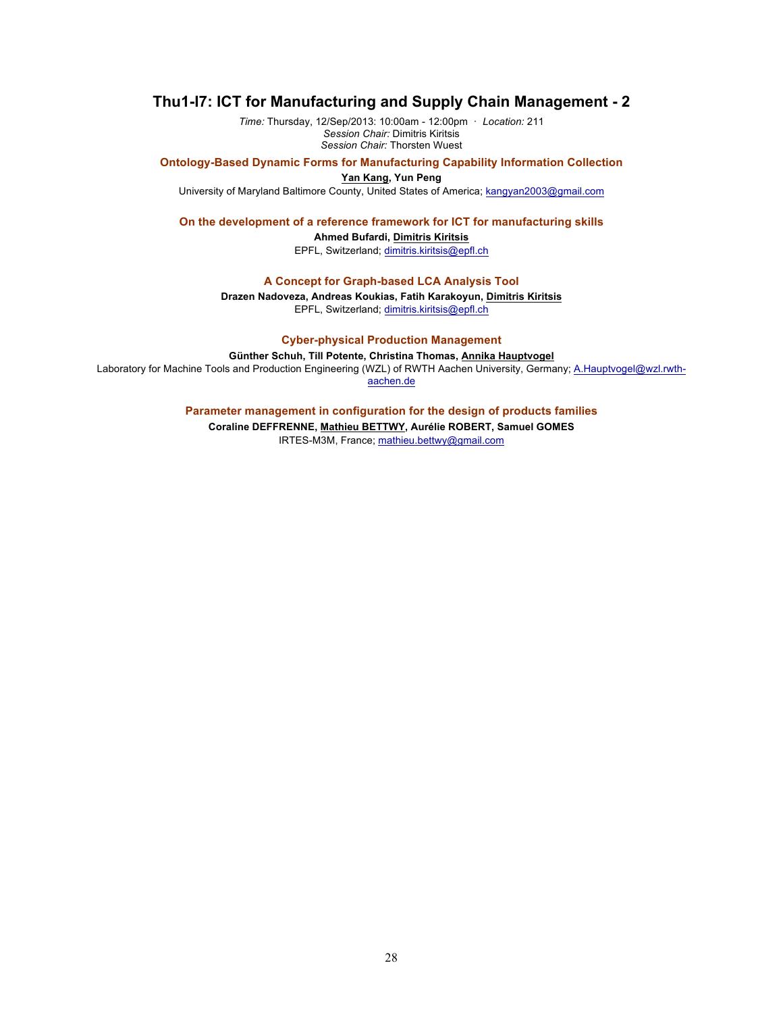## **Thu1-I7: ICT for Manufacturing and Supply Chain Management - 2**

*Time:* Thursday, 12/Sep/2013: 10:00am - 12:00pm · *Location:* 211 *Session Chair:* Dimitris Kiritsis *Session Chair:* Thorsten Wuest

**Ontology-Based Dynamic Forms for Manufacturing Capability Information Collection**

**Yan Kang, Yun Peng** University of Maryland Baltimore County, United States of America; kangyan2003@gmail.com

**On the development of a reference framework for ICT for manufacturing skills**

**Ahmed Bufardi, Dimitris Kiritsis** EPFL, Switzerland; dimitris.kiritsis@epfl.ch

**A Concept for Graph-based LCA Analysis Tool**

**Drazen Nadoveza, Andreas Koukias, Fatih Karakoyun, Dimitris Kiritsis** EPFL, Switzerland; dimitris.kiritsis@epfl.ch

**Cyber-physical Production Management**

**Günther Schuh, Till Potente, Christina Thomas, Annika Hauptvogel** Laboratory for Machine Tools and Production Engineering (WZL) of RWTH Aachen University, Germany; A.Hauptvogel@wzl.rwthaachen.de

> **Parameter management in configuration for the design of products families Coraline DEFFRENNE, Mathieu BETTWY, Aurélie ROBERT, Samuel GOMES**

IRTES-M3M, France; mathieu.bettwy@gmail.com